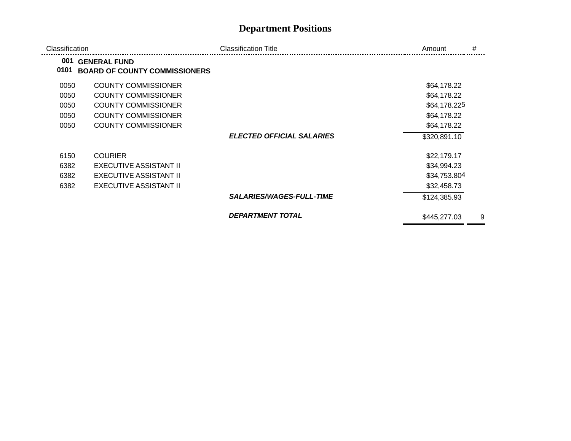| Classification |                                                             | <b>Classification Title</b>      | #<br>Amount       |  |
|----------------|-------------------------------------------------------------|----------------------------------|-------------------|--|
| 001<br>0101    | <b>GENERAL FUND</b><br><b>BOARD OF COUNTY COMMISSIONERS</b> |                                  |                   |  |
| 0050           | <b>COUNTY COMMISSIONER</b>                                  |                                  | \$64,178.22       |  |
| 0050           | <b>COUNTY COMMISSIONER</b>                                  |                                  | \$64,178.22       |  |
| 0050           | <b>COUNTY COMMISSIONER</b>                                  |                                  | \$64,178.225      |  |
| 0050           | <b>COUNTY COMMISSIONER</b>                                  |                                  | \$64,178.22       |  |
| 0050           | <b>COUNTY COMMISSIONER</b>                                  |                                  | \$64,178.22       |  |
|                |                                                             | <b>ELECTED OFFICIAL SALARIES</b> | \$320,891.10      |  |
| 6150           | <b>COURIER</b>                                              |                                  | \$22,179.17       |  |
| 6382           | EXECUTIVE ASSISTANT II                                      |                                  | \$34,994.23       |  |
| 6382           | EXECUTIVE ASSISTANT II                                      |                                  | \$34,753.804      |  |
| 6382           | EXECUTIVE ASSISTANT II                                      |                                  | \$32,458.73       |  |
|                |                                                             | <b>SALARIES/WAGES-FULL-TIME</b>  | \$124,385.93      |  |
|                |                                                             | <b>DEPARTMENT TOTAL</b>          | 9<br>\$445,277.03 |  |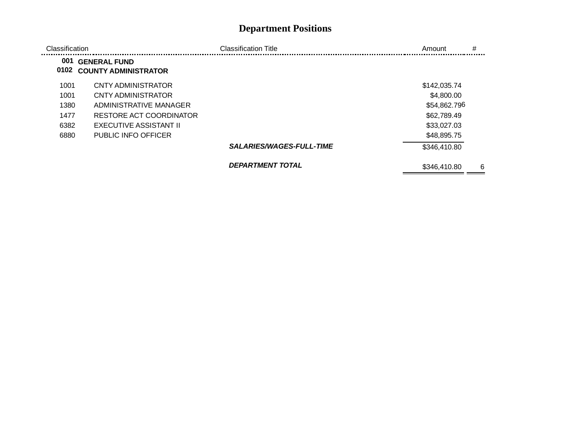| Classification |                                                    | <b>Classification Title</b>     | #<br>Amount       |
|----------------|----------------------------------------------------|---------------------------------|-------------------|
| 001<br>0102    | <b>GENERAL FUND</b><br><b>COUNTY ADMINISTRATOR</b> |                                 |                   |
| 1001           | CNTY ADMINISTRATOR                                 |                                 | \$142,035.74      |
| 1001           | CNTY ADMINISTRATOR                                 |                                 | \$4,800.00        |
| 1380           | ADMINISTRATIVE MANAGER                             |                                 | \$54,862.796      |
| 1477           | RESTORE ACT COORDINATOR                            |                                 | \$62,789.49       |
| 6382           | EXECUTIVE ASSISTANT II                             |                                 | \$33,027.03       |
| 6880           | <b>PUBLIC INFO OFFICER</b>                         |                                 | \$48,895.75       |
|                |                                                    | <b>SALARIES/WAGES-FULL-TIME</b> | \$346,410.80      |
|                |                                                    | <b>DEPARTMENT TOTAL</b>         | \$346,410.80<br>6 |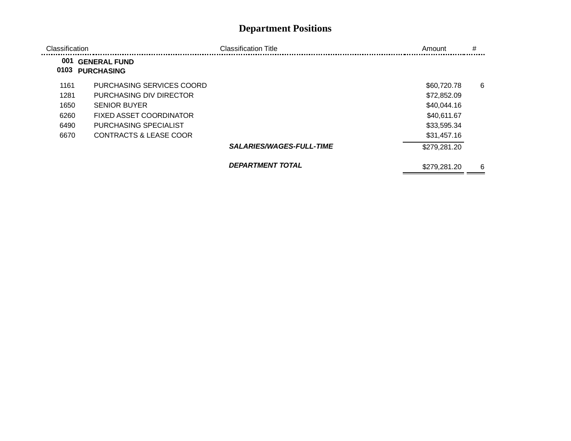| Classification |                                          | <b>Classification Title</b>     | Amount       | # |
|----------------|------------------------------------------|---------------------------------|--------------|---|
| 001<br>0103    | <b>GENERAL FUND</b><br><b>PURCHASING</b> |                                 |              |   |
| 1161           | PURCHASING SERVICES COORD                |                                 | \$60,720.78  | 6 |
| 1281           | PURCHASING DIV DIRECTOR                  |                                 | \$72,852.09  |   |
| 1650           | <b>SENIOR BUYER</b>                      |                                 | \$40,044.16  |   |
| 6260           | <b>FIXED ASSET COORDINATOR</b>           |                                 | \$40,611.67  |   |
| 6490           | PURCHASING SPECIALIST                    |                                 | \$33,595.34  |   |
| 6670           | <b>CONTRACTS &amp; LEASE COOR</b>        |                                 | \$31,457.16  |   |
|                |                                          | <b>SALARIES/WAGES-FULL-TIME</b> | \$279,281.20 |   |
|                |                                          | <b>DEPARTMENT TOTAL</b>         | \$279,281.20 | 6 |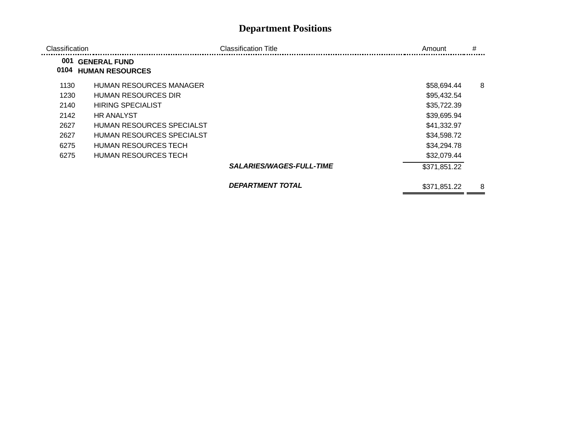$=$   $=$ 

| Classification |                                               | <b>Classification Title</b>     | Amount       | # |
|----------------|-----------------------------------------------|---------------------------------|--------------|---|
| 001<br>0104    | <b>GENERAL FUND</b><br><b>HUMAN RESOURCES</b> |                                 |              |   |
| 1130           | <b>HUMAN RESOURCES MANAGER</b>                |                                 | \$58,694.44  | 8 |
| 1230           | <b>HUMAN RESOURCES DIR</b>                    |                                 | \$95,432.54  |   |
| 2140           | <b>HIRING SPECIALIST</b>                      |                                 | \$35,722.39  |   |
| 2142           | <b>HR ANALYST</b>                             |                                 | \$39,695.94  |   |
| 2627           | HUMAN RESOURCES SPECIALST                     |                                 | \$41,332.97  |   |
| 2627           | HUMAN RESOURCES SPECIALST                     |                                 | \$34,598.72  |   |
| 6275           | <b>HUMAN RESOURCES TECH</b>                   |                                 | \$34,294.78  |   |
| 6275           | <b>HUMAN RESOURCES TECH</b>                   |                                 | \$32,079.44  |   |
|                |                                               | <b>SALARIES/WAGES-FULL-TIME</b> | \$371,851.22 |   |
|                |                                               | <b>DEPARTMENT TOTAL</b>         | \$371,851.22 | 8 |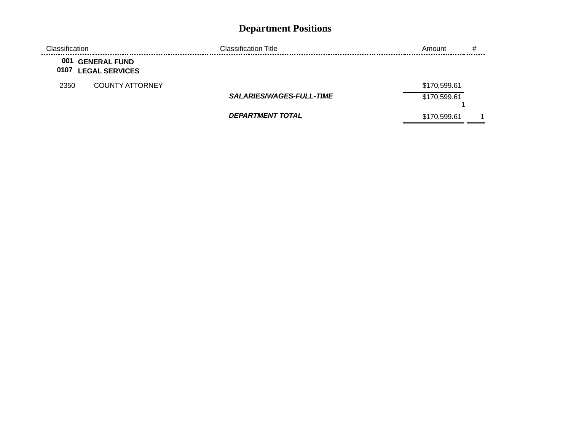| Classification. |                                              | <b>Classification Title</b>     | #<br>Amount  |
|-----------------|----------------------------------------------|---------------------------------|--------------|
| 001<br>0107     | <b>GENERAL FUND</b><br><b>LEGAL SERVICES</b> |                                 |              |
| 2350            | <b>COUNTY ATTORNEY</b>                       |                                 | \$170,599.61 |
|                 |                                              | <b>SALARIES/WAGES-FULL-TIME</b> | \$170,599.61 |
|                 |                                              | <b>DEPARTMENT TOTAL</b>         | \$170,599.61 |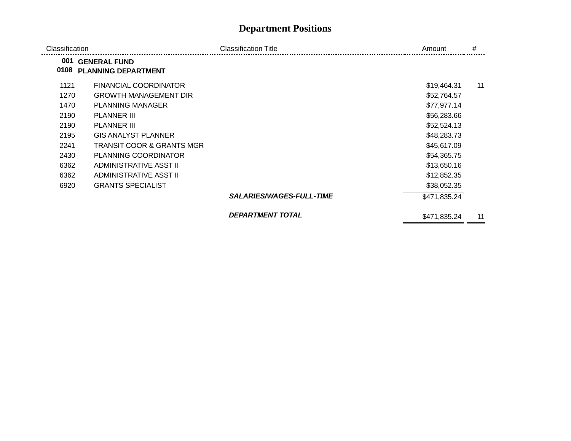| Classification |                                                   | <b>Classification Title</b>     | Amount       | #  |
|----------------|---------------------------------------------------|---------------------------------|--------------|----|
| 001<br>0108    | <b>GENERAL FUND</b><br><b>PLANNING DEPARTMENT</b> |                                 |              |    |
| 1121           | <b>FINANCIAL COORDINATOR</b>                      |                                 | \$19,464.31  | 11 |
| 1270           | <b>GROWTH MANAGEMENT DIR</b>                      |                                 | \$52,764.57  |    |
| 1470           | <b>PLANNING MANAGER</b>                           |                                 | \$77,977.14  |    |
| 2190           | <b>PLANNER III</b>                                |                                 | \$56,283.66  |    |
| 2190           | <b>PLANNER III</b>                                |                                 | \$52,524.13  |    |
| 2195           | <b>GIS ANALYST PLANNER</b>                        |                                 | \$48,283.73  |    |
| 2241           | <b>TRANSIT COOR &amp; GRANTS MGR</b>              |                                 | \$45,617.09  |    |
| 2430           | PLANNING COORDINATOR                              |                                 | \$54,365.75  |    |
| 6362           | ADMINISTRATIVE ASST II                            |                                 | \$13,650.16  |    |
| 6362           | ADMINISTRATIVE ASST II                            |                                 | \$12,852.35  |    |
| 6920           | <b>GRANTS SPECIALIST</b>                          |                                 | \$38,052.35  |    |
|                |                                                   | <b>SALARIES/WAGES-FULL-TIME</b> | \$471,835.24 |    |
|                |                                                   | <b>DEPARTMENT TOTAL</b>         | \$471,835.24 | 11 |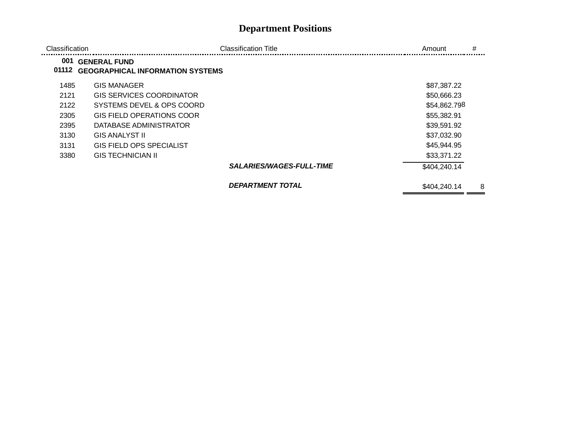$=$   $=$ 

| Classification | <b>Classification Title</b>                                    | #<br>Amount       |
|----------------|----------------------------------------------------------------|-------------------|
| 001<br>01112   | <b>GENERAL FUND</b><br><b>GEOGRAPHICAL INFORMATION SYSTEMS</b> |                   |
| 1485           | <b>GIS MANAGER</b>                                             | \$87,387.22       |
| 2121           | <b>GIS SERVICES COORDINATOR</b>                                | \$50,666.23       |
| 2122           | SYSTEMS DEVEL & OPS COORD                                      | \$54,862.798      |
| 2305           | GIS FIELD OPERATIONS COOR                                      | \$55,382.91       |
| 2395           | DATABASE ADMINISTRATOR                                         | \$39,591.92       |
| 3130           | <b>GIS ANALYST II</b>                                          | \$37,032.90       |
| 3131           | <b>GIS FIELD OPS SPECIALIST</b>                                | \$45,944.95       |
| 3380           | <b>GIS TECHNICIAN II</b>                                       | \$33,371.22       |
|                | <b>SALARIES/WAGES-FULL-TIME</b>                                | \$404,240.14      |
|                | <b>DEPARTMENT TOTAL</b>                                        | \$404,240.14<br>8 |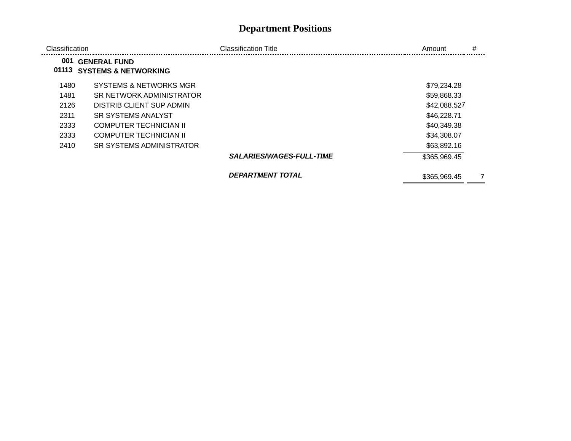$\blacksquare$  $\overline{\phantom{0}}$ 

| Classification |                                                        | <b>Classification Title</b>     | #<br>Amount                    |
|----------------|--------------------------------------------------------|---------------------------------|--------------------------------|
| 001<br>01113   | <b>GENERAL FUND</b><br><b>SYSTEMS &amp; NETWORKING</b> |                                 |                                |
| 1480           | SYSTEMS & NETWORKS MGR                                 |                                 | \$79,234.28                    |
| 1481           | SR NETWORK ADMINISTRATOR                               |                                 | \$59,868.33                    |
| 2126           | DISTRIB CLIENT SUP ADMIN                               |                                 | \$42,088.527                   |
| 2311           | <b>SR SYSTEMS ANALYST</b>                              |                                 | \$46,228.71                    |
| 2333           | <b>COMPUTER TECHNICIAN II</b>                          |                                 | \$40,349.38                    |
| 2333           | <b>COMPUTER TECHNICIAN II</b>                          |                                 | \$34,308.07                    |
| 2410           | SR SYSTEMS ADMINISTRATOR                               |                                 | \$63,892.16                    |
|                |                                                        | <b>SALARIES/WAGES-FULL-TIME</b> | \$365,969.45                   |
|                |                                                        | <b>DEPARTMENT TOTAL</b>         | \$365,969.45<br>$\overline{7}$ |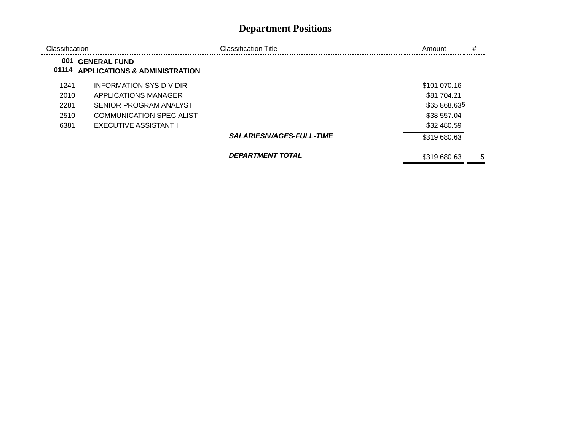| Classification |                                                                 | <b>Classification Title</b>     | #<br>Amount       |
|----------------|-----------------------------------------------------------------|---------------------------------|-------------------|
| 001<br>01114   | <b>GENERAL FUND</b><br><b>APPLICATIONS &amp; ADMINISTRATION</b> |                                 |                   |
| 1241           | INFORMATION SYS DIV DIR                                         |                                 | \$101,070.16      |
| 2010           | APPLICATIONS MANAGER                                            |                                 | \$81,704.21       |
| 2281           | SENIOR PROGRAM ANALYST                                          |                                 | \$65,868.635      |
| 2510           | COMMUNICATION SPECIALIST                                        |                                 | \$38,557.04       |
| 6381           | EXECUTIVE ASSISTANT I                                           |                                 | \$32,480.59       |
|                |                                                                 | <b>SALARIES/WAGES-FULL-TIME</b> | \$319,680.63      |
|                |                                                                 | <b>DEPARTMENT TOTAL</b>         | \$319,680.63<br>5 |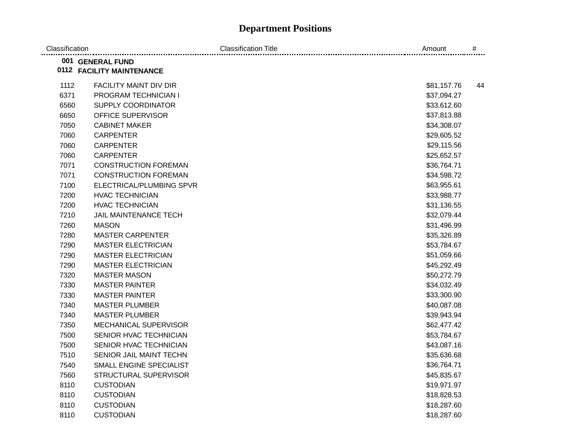| Classification | <b>Classification Title</b> | Amount      | #  |
|----------------|-----------------------------|-------------|----|
|                | 001 GENERAL FUND            |             |    |
|                | 0112 FACILITY MAINTENANCE   |             |    |
| 1112           | FACILITY MAINT DIV DIR      | \$81,157.76 | 44 |
| 6371           | PROGRAM TECHNICIAN I        | \$37,094.27 |    |
| 6560           | SUPPLY COORDINATOR          | \$33,612.60 |    |
| 6650           | OFFICE SUPERVISOR           | \$37,813.88 |    |
| 7050           | <b>CABINET MAKER</b>        | \$34,308.07 |    |
| 7060           | <b>CARPENTER</b>            | \$29,605.52 |    |
| 7060           | <b>CARPENTER</b>            | \$29,115.56 |    |
| 7060           | <b>CARPENTER</b>            | \$25,652.57 |    |
| 7071           | <b>CONSTRUCTION FOREMAN</b> | \$36,764.71 |    |
| 7071           | <b>CONSTRUCTION FOREMAN</b> | \$34,598.72 |    |
| 7100           | ELECTRICAL/PLUMBING SPVR    | \$63,955.61 |    |
| 7200           | <b>HVAC TECHNICIAN</b>      | \$33,988.77 |    |
| 7200           | <b>HVAC TECHNICIAN</b>      | \$31,136.55 |    |
| 7210           | JAIL MAINTENANCE TECH       | \$32,079.44 |    |
| 7260           | <b>MASON</b>                | \$31,496.99 |    |
| 7280           | <b>MASTER CARPENTER</b>     | \$35,326.89 |    |
| 7290           | <b>MASTER ELECTRICIAN</b>   | \$53,784.67 |    |
| 7290           | <b>MASTER ELECTRICIAN</b>   | \$51,059.66 |    |
| 7290           | <b>MASTER ELECTRICIAN</b>   | \$45,292.49 |    |
| 7320           | <b>MASTER MASON</b>         | \$50,272.79 |    |
| 7330           | <b>MASTER PAINTER</b>       | \$34,032.49 |    |
| 7330           | <b>MASTER PAINTER</b>       | \$33,300.90 |    |
| 7340           | <b>MASTER PLUMBER</b>       | \$40,087.08 |    |
| 7340           | <b>MASTER PLUMBER</b>       | \$39,943.94 |    |
| 7350           | MECHANICAL SUPERVISOR       | \$62,477.42 |    |
| 7500           | SENIOR HVAC TECHNICIAN      | \$53,784.67 |    |
| 7500           | SENIOR HVAC TECHNICIAN      | \$43,087.16 |    |
| 7510           | SENIOR JAIL MAINT TECHN     | \$35,636.68 |    |
| 7540           | SMALL ENGINE SPECIALIST     | \$36,764.71 |    |
| 7560           | STRUCTURAL SUPERVISOR       | \$45,835.67 |    |
| 8110           | <b>CUSTODIAN</b>            | \$19,971.97 |    |
| 8110           | <b>CUSTODIAN</b>            | \$18,828.53 |    |
| 8110           | <b>CUSTODIAN</b>            | \$18,287.60 |    |
| 8110           | <b>CUSTODIAN</b>            | \$18,287.60 |    |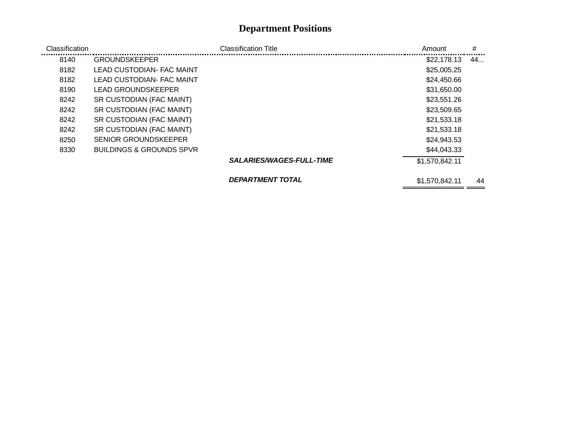| Classification |                                     | <b>Classification Title</b>     | Amount         | #  |
|----------------|-------------------------------------|---------------------------------|----------------|----|
| 8140           | <b>GROUNDSKEEPER</b>                |                                 | \$22,178,13    | 44 |
| 8182           | <b>LEAD CUSTODIAN- FAC MAINT</b>    |                                 | \$25,005.25    |    |
| 8182           | <b>LEAD CUSTODIAN- FAC MAINT</b>    |                                 | \$24,450.66    |    |
| 8190           | LEAD GROUNDSKEEPER                  |                                 | \$31,650.00    |    |
| 8242           | SR CUSTODIAN (FAC MAINT)            |                                 | \$23,551.26    |    |
| 8242           | SR CUSTODIAN (FAC MAINT)            |                                 | \$23,509.65    |    |
| 8242           | SR CUSTODIAN (FAC MAINT)            |                                 | \$21,533.18    |    |
| 8242           | SR CUSTODIAN (FAC MAINT)            |                                 | \$21,533.18    |    |
| 8250           | <b>SENIOR GROUNDSKEEPER</b>         |                                 | \$24,943.53    |    |
| 8330           | <b>BUILDINGS &amp; GROUNDS SPVR</b> |                                 | \$44,043.33    |    |
|                |                                     | <b>SALARIES/WAGES-FULL-TIME</b> | \$1,570,842.11 |    |
|                |                                     | <b>DEPARTMENT TOTAL</b>         | \$1,570,842.11 | 44 |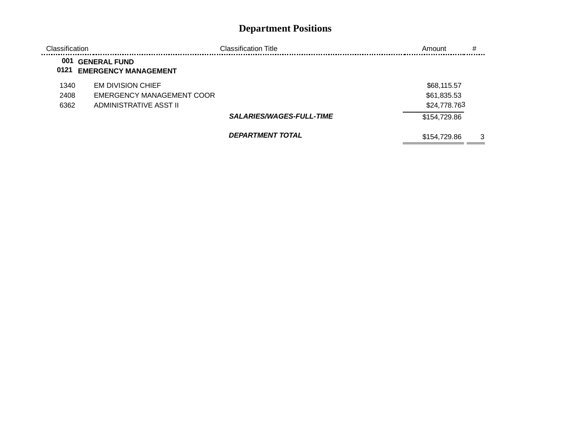| Classification |                                                    | Classification Title            | #<br>Amount        |
|----------------|----------------------------------------------------|---------------------------------|--------------------|
| 001<br>0121    | <b>GENERAL FUND</b><br><b>EMERGENCY MANAGEMENT</b> |                                 |                    |
| 1340           | <b>EM DIVISION CHIEF</b>                           |                                 | \$68,115.57        |
| 2408           | EMERGENCY MANAGEMENT COOR                          |                                 | \$61,835.53        |
| 6362           | ADMINISTRATIVE ASST II                             |                                 | \$24,778.763       |
|                |                                                    | <b>SALARIES/WAGES-FULL-TIME</b> | \$154,729.86       |
|                |                                                    | <b>DEPARTMENT TOTAL</b>         | \$154,729.86<br>-3 |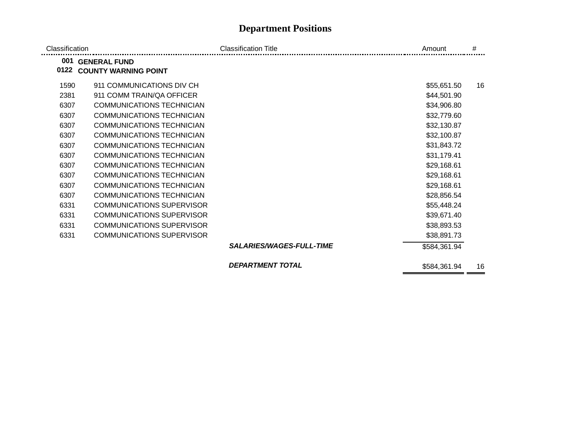| Classification |                                                    | <b>Classification Title</b>     | Amount       | #  |
|----------------|----------------------------------------------------|---------------------------------|--------------|----|
| 001<br>0122    | <b>GENERAL FUND</b><br><b>COUNTY WARNING POINT</b> |                                 |              |    |
| 1590           | 911 COMMUNICATIONS DIV CH                          |                                 | \$55,651.50  | 16 |
| 2381           | 911 COMM TRAIN/QA OFFICER                          |                                 | \$44,501.90  |    |
| 6307           | <b>COMMUNICATIONS TECHNICIAN</b>                   |                                 | \$34,906.80  |    |
| 6307           | <b>COMMUNICATIONS TECHNICIAN</b>                   |                                 | \$32,779.60  |    |
| 6307           | <b>COMMUNICATIONS TECHNICIAN</b>                   |                                 | \$32,130.87  |    |
| 6307           | <b>COMMUNICATIONS TECHNICIAN</b>                   |                                 | \$32,100.87  |    |
| 6307           | <b>COMMUNICATIONS TECHNICIAN</b>                   |                                 | \$31,843.72  |    |
| 6307           | <b>COMMUNICATIONS TECHNICIAN</b>                   |                                 | \$31,179.41  |    |
| 6307           | <b>COMMUNICATIONS TECHNICIAN</b>                   |                                 | \$29,168.61  |    |
| 6307           | <b>COMMUNICATIONS TECHNICIAN</b>                   |                                 | \$29,168.61  |    |
| 6307           | COMMUNICATIONS TECHNICIAN                          |                                 | \$29,168.61  |    |
| 6307           | <b>COMMUNICATIONS TECHNICIAN</b>                   |                                 | \$28,856.54  |    |
| 6331           | <b>COMMUNICATIONS SUPERVISOR</b>                   |                                 | \$55,448.24  |    |
| 6331           | <b>COMMUNICATIONS SUPERVISOR</b>                   |                                 | \$39,671.40  |    |
| 6331           | <b>COMMUNICATIONS SUPERVISOR</b>                   |                                 | \$38,893.53  |    |
| 6331           | <b>COMMUNICATIONS SUPERVISOR</b>                   |                                 | \$38,891.73  |    |
|                |                                                    | <b>SALARIES/WAGES-FULL-TIME</b> | \$584,361.94 |    |
|                |                                                    | <b>DEPARTMENT TOTAL</b>         | \$584,361.94 | 16 |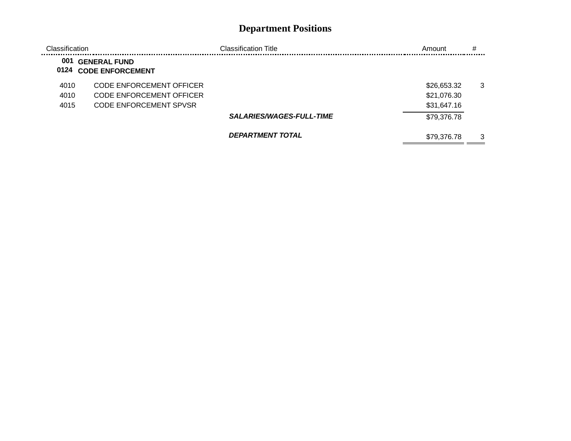| Classification |                                                | Classification Title     | Amount      | # |
|----------------|------------------------------------------------|--------------------------|-------------|---|
| 001<br>0124    | <b>GENERAL FUND</b><br><b>CODE ENFORCEMENT</b> |                          |             |   |
| 4010           | CODE ENFORCEMENT OFFICER                       |                          | \$26,653.32 | 3 |
| 4010           | CODE ENFORCEMENT OFFICER                       |                          | \$21,076.30 |   |
| 4015           | CODE ENFORCEMENT SPVSR                         |                          | \$31,647.16 |   |
|                |                                                | SALARIES/WAGES-FULL-TIME | \$79,376.78 |   |
|                |                                                | <b>DEPARTMENT TOTAL</b>  | \$79,376.78 | 3 |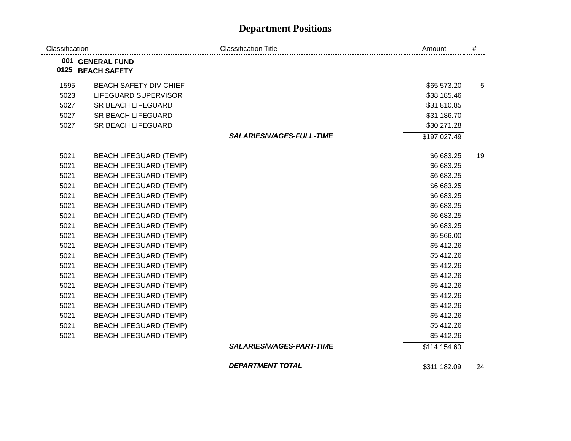| Classification |                                       | <b>Classification Title</b>     | Amount       | #          |
|----------------|---------------------------------------|---------------------------------|--------------|------------|
|                | 001 GENERAL FUND<br>0125 BEACH SAFETY |                                 |              |            |
| 1595           | <b>BEACH SAFETY DIV CHIEF</b>         |                                 | \$65,573.20  | $\sqrt{5}$ |
| 5023           | <b>LIFEGUARD SUPERVISOR</b>           |                                 | \$38,185.46  |            |
| 5027           | <b>SR BEACH LIFEGUARD</b>             |                                 | \$31,810.85  |            |
| 5027           | <b>SR BEACH LIFEGUARD</b>             |                                 | \$31,186.70  |            |
| 5027           | SR BEACH LIFEGUARD                    |                                 | \$30,271.28  |            |
|                |                                       | <b>SALARIES/WAGES-FULL-TIME</b> | \$197,027.49 |            |
| 5021           | <b>BEACH LIFEGUARD (TEMP)</b>         |                                 | \$6,683.25   | 19         |
| 5021           | <b>BEACH LIFEGUARD (TEMP)</b>         |                                 | \$6,683.25   |            |
| 5021           | <b>BEACH LIFEGUARD (TEMP)</b>         |                                 | \$6,683.25   |            |
| 5021           | <b>BEACH LIFEGUARD (TEMP)</b>         |                                 | \$6,683.25   |            |
| 5021           | <b>BEACH LIFEGUARD (TEMP)</b>         |                                 | \$6,683.25   |            |
| 5021           | <b>BEACH LIFEGUARD (TEMP)</b>         |                                 | \$6,683.25   |            |
| 5021           | <b>BEACH LIFEGUARD (TEMP)</b>         |                                 | \$6,683.25   |            |
| 5021           | <b>BEACH LIFEGUARD (TEMP)</b>         |                                 | \$6,683.25   |            |
| 5021           | <b>BEACH LIFEGUARD (TEMP)</b>         |                                 | \$6,566.00   |            |
| 5021           | <b>BEACH LIFEGUARD (TEMP)</b>         |                                 | \$5,412.26   |            |
| 5021           | <b>BEACH LIFEGUARD (TEMP)</b>         |                                 | \$5,412.26   |            |
| 5021           | <b>BEACH LIFEGUARD (TEMP)</b>         |                                 | \$5,412.26   |            |
| 5021           | <b>BEACH LIFEGUARD (TEMP)</b>         |                                 | \$5,412.26   |            |
| 5021           | <b>BEACH LIFEGUARD (TEMP)</b>         |                                 | \$5,412.26   |            |
| 5021           | <b>BEACH LIFEGUARD (TEMP)</b>         |                                 | \$5,412.26   |            |
| 5021           | <b>BEACH LIFEGUARD (TEMP)</b>         |                                 | \$5,412.26   |            |
| 5021           | <b>BEACH LIFEGUARD (TEMP)</b>         |                                 | \$5,412.26   |            |
| 5021           | <b>BEACH LIFEGUARD (TEMP)</b>         |                                 | \$5,412.26   |            |
| 5021           | <b>BEACH LIFEGUARD (TEMP)</b>         |                                 | \$5,412.26   |            |
|                |                                       | <b>SALARIES/WAGES-PART-TIME</b> | \$114,154.60 |            |
|                |                                       | <b>DEPARTMENT TOTAL</b>         | \$311,182.09 | 24         |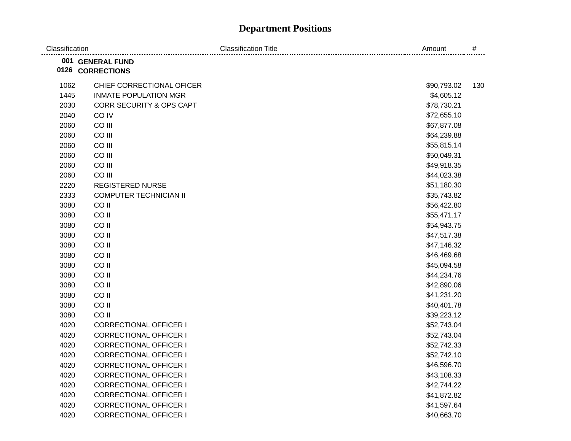| Classification |                               | <b>Classification Title</b> | Amount      | #   |
|----------------|-------------------------------|-----------------------------|-------------|-----|
|                | 001 GENERAL FUND              |                             |             |     |
|                | 0126 CORRECTIONS              |                             |             |     |
| 1062           | CHIEF CORRECTIONAL OFICER     |                             | \$90,793.02 | 130 |
| 1445           | <b>INMATE POPULATION MGR</b>  |                             | \$4,605.12  |     |
| 2030           | CORR SECURITY & OPS CAPT      |                             | \$78,730.21 |     |
| 2040           | CO IV                         |                             | \$72,655.10 |     |
| 2060           | CO III                        |                             | \$67,877.08 |     |
| 2060           | CO III                        |                             | \$64,239.88 |     |
| 2060           | CO III                        |                             | \$55,815.14 |     |
| 2060           | CO III                        |                             | \$50,049.31 |     |
| 2060           | CO III                        |                             | \$49,918.35 |     |
| 2060           | CO III                        |                             | \$44,023.38 |     |
| 2220           | <b>REGISTERED NURSE</b>       |                             | \$51,180.30 |     |
| 2333           | <b>COMPUTER TECHNICIAN II</b> |                             | \$35,743.82 |     |
| 3080           | CO <sub>II</sub>              |                             | \$56,422.80 |     |
| 3080           | CO <sub>II</sub>              |                             | \$55,471.17 |     |
| 3080           | CO <sub>II</sub>              |                             | \$54,943.75 |     |
| 3080           | CO <sub>II</sub>              |                             | \$47,517.38 |     |
| 3080           | CO <sub>II</sub>              |                             | \$47,146.32 |     |
| 3080           | CO <sub>II</sub>              |                             | \$46,469.68 |     |
| 3080           | CO <sub>II</sub>              |                             | \$45,094.58 |     |
| 3080           | CO <sub>II</sub>              |                             | \$44,234.76 |     |
| 3080           | CO <sub>II</sub>              |                             | \$42,890.06 |     |
| 3080           | CO <sub>II</sub>              |                             | \$41,231.20 |     |
| 3080           | CO <sub>II</sub>              |                             | \$40,401.78 |     |
| 3080           | CO <sub>II</sub>              |                             | \$39,223.12 |     |
| 4020           | <b>CORRECTIONAL OFFICER I</b> |                             | \$52,743.04 |     |
| 4020           | <b>CORRECTIONAL OFFICER I</b> |                             | \$52,743.04 |     |
| 4020           | <b>CORRECTIONAL OFFICER I</b> |                             | \$52,742.33 |     |
| 4020           | <b>CORRECTIONAL OFFICER I</b> |                             | \$52,742.10 |     |
| 4020           | <b>CORRECTIONAL OFFICER I</b> |                             | \$46,596.70 |     |
| 4020           | <b>CORRECTIONAL OFFICER I</b> |                             | \$43,108.33 |     |
| 4020           | <b>CORRECTIONAL OFFICER I</b> |                             | \$42,744.22 |     |
| 4020           | <b>CORRECTIONAL OFFICER I</b> |                             | \$41,872.82 |     |
| 4020           | <b>CORRECTIONAL OFFICER I</b> |                             | \$41,597.64 |     |
| 4020           | <b>CORRECTIONAL OFFICER I</b> |                             | \$40,663.70 |     |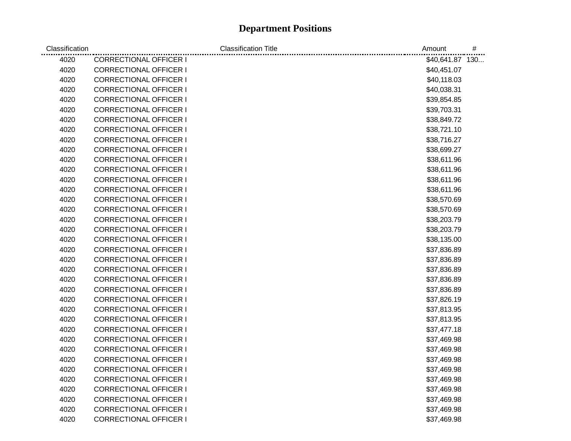| Classification | <b>Classification Title</b>   | Amount<br>#     |  |
|----------------|-------------------------------|-----------------|--|
| 4020           | <b>CORRECTIONAL OFFICER I</b> | \$40,641.87 130 |  |
| 4020           | <b>CORRECTIONAL OFFICER I</b> | \$40,451.07     |  |
| 4020           | <b>CORRECTIONAL OFFICER I</b> | \$40,118.03     |  |
| 4020           | <b>CORRECTIONAL OFFICER I</b> | \$40,038.31     |  |
| 4020           | <b>CORRECTIONAL OFFICER I</b> | \$39,854.85     |  |
| 4020           | <b>CORRECTIONAL OFFICER I</b> | \$39,703.31     |  |
| 4020           | <b>CORRECTIONAL OFFICER I</b> | \$38,849.72     |  |
| 4020           | <b>CORRECTIONAL OFFICER I</b> | \$38,721.10     |  |
| 4020           | <b>CORRECTIONAL OFFICER I</b> | \$38,716.27     |  |
| 4020           | <b>CORRECTIONAL OFFICER I</b> | \$38,699.27     |  |
| 4020           | <b>CORRECTIONAL OFFICER I</b> | \$38,611.96     |  |
| 4020           | <b>CORRECTIONAL OFFICER I</b> | \$38,611.96     |  |
| 4020           | <b>CORRECTIONAL OFFICER I</b> | \$38,611.96     |  |
| 4020           | <b>CORRECTIONAL OFFICER I</b> | \$38,611.96     |  |
| 4020           | <b>CORRECTIONAL OFFICER I</b> | \$38,570.69     |  |
| 4020           | <b>CORRECTIONAL OFFICER I</b> | \$38,570.69     |  |
| 4020           | <b>CORRECTIONAL OFFICER I</b> | \$38,203.79     |  |
| 4020           | <b>CORRECTIONAL OFFICER I</b> | \$38,203.79     |  |
| 4020           | <b>CORRECTIONAL OFFICER I</b> | \$38,135.00     |  |
| 4020           | <b>CORRECTIONAL OFFICER I</b> | \$37,836.89     |  |
| 4020           | <b>CORRECTIONAL OFFICER I</b> | \$37,836.89     |  |
| 4020           | <b>CORRECTIONAL OFFICER I</b> | \$37,836.89     |  |
| 4020           | <b>CORRECTIONAL OFFICER I</b> | \$37,836.89     |  |
| 4020           | <b>CORRECTIONAL OFFICER I</b> | \$37,836.89     |  |
| 4020           | <b>CORRECTIONAL OFFICER I</b> | \$37,826.19     |  |
| 4020           | <b>CORRECTIONAL OFFICER I</b> | \$37,813.95     |  |
| 4020           | <b>CORRECTIONAL OFFICER I</b> | \$37,813.95     |  |
| 4020           | <b>CORRECTIONAL OFFICER I</b> | \$37,477.18     |  |
| 4020           | <b>CORRECTIONAL OFFICER I</b> | \$37,469.98     |  |
| 4020           | <b>CORRECTIONAL OFFICER I</b> | \$37,469.98     |  |
| 4020           | <b>CORRECTIONAL OFFICER I</b> | \$37,469.98     |  |
| 4020           | <b>CORRECTIONAL OFFICER I</b> | \$37,469.98     |  |
| 4020           | <b>CORRECTIONAL OFFICER I</b> | \$37,469.98     |  |
| 4020           | <b>CORRECTIONAL OFFICER I</b> | \$37,469.98     |  |
| 4020           | <b>CORRECTIONAL OFFICER I</b> | \$37,469.98     |  |
| 4020           | <b>CORRECTIONAL OFFICER I</b> | \$37,469.98     |  |
| 4020           | <b>CORRECTIONAL OFFICER I</b> | \$37,469.98     |  |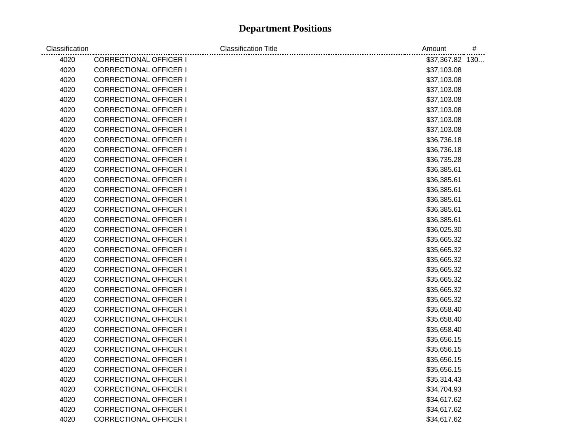| Classification | <b>Classification Title</b>   | Amount          | # |
|----------------|-------------------------------|-----------------|---|
| 4020           | <b>CORRECTIONAL OFFICER I</b> | \$37,367.82 130 |   |
| 4020           | <b>CORRECTIONAL OFFICER I</b> | \$37,103.08     |   |
| 4020           | <b>CORRECTIONAL OFFICER I</b> | \$37,103.08     |   |
| 4020           | <b>CORRECTIONAL OFFICER I</b> | \$37,103.08     |   |
| 4020           | <b>CORRECTIONAL OFFICER I</b> | \$37,103.08     |   |
| 4020           | <b>CORRECTIONAL OFFICER I</b> | \$37,103.08     |   |
| 4020           | <b>CORRECTIONAL OFFICER I</b> | \$37,103.08     |   |
| 4020           | <b>CORRECTIONAL OFFICER I</b> | \$37,103.08     |   |
| 4020           | <b>CORRECTIONAL OFFICER I</b> | \$36,736.18     |   |
| 4020           | <b>CORRECTIONAL OFFICER I</b> | \$36,736.18     |   |
| 4020           | <b>CORRECTIONAL OFFICER I</b> | \$36,735.28     |   |
| 4020           | <b>CORRECTIONAL OFFICER I</b> | \$36,385.61     |   |
| 4020           | <b>CORRECTIONAL OFFICER I</b> | \$36,385.61     |   |
| 4020           | <b>CORRECTIONAL OFFICER I</b> | \$36,385.61     |   |
| 4020           | <b>CORRECTIONAL OFFICER I</b> | \$36,385.61     |   |
| 4020           | <b>CORRECTIONAL OFFICER I</b> | \$36,385.61     |   |
| 4020           | <b>CORRECTIONAL OFFICER I</b> | \$36,385.61     |   |
| 4020           | <b>CORRECTIONAL OFFICER I</b> | \$36,025.30     |   |
| 4020           | <b>CORRECTIONAL OFFICER I</b> | \$35,665.32     |   |
| 4020           | <b>CORRECTIONAL OFFICER I</b> | \$35,665.32     |   |
| 4020           | <b>CORRECTIONAL OFFICER I</b> | \$35,665.32     |   |
| 4020           | <b>CORRECTIONAL OFFICER I</b> | \$35,665.32     |   |
| 4020           | <b>CORRECTIONAL OFFICER I</b> | \$35,665.32     |   |
| 4020           | <b>CORRECTIONAL OFFICER I</b> | \$35,665.32     |   |
| 4020           | <b>CORRECTIONAL OFFICER I</b> | \$35,665.32     |   |
| 4020           | <b>CORRECTIONAL OFFICER I</b> | \$35,658.40     |   |
| 4020           | <b>CORRECTIONAL OFFICER I</b> | \$35,658.40     |   |
| 4020           | <b>CORRECTIONAL OFFICER I</b> | \$35,658.40     |   |
| 4020           | <b>CORRECTIONAL OFFICER I</b> | \$35,656.15     |   |
| 4020           | <b>CORRECTIONAL OFFICER I</b> | \$35,656.15     |   |
| 4020           | <b>CORRECTIONAL OFFICER I</b> | \$35,656.15     |   |
| 4020           | <b>CORRECTIONAL OFFICER I</b> | \$35,656.15     |   |
| 4020           | <b>CORRECTIONAL OFFICER I</b> | \$35,314.43     |   |
| 4020           | <b>CORRECTIONAL OFFICER I</b> | \$34,704.93     |   |
| 4020           | <b>CORRECTIONAL OFFICER I</b> | \$34,617.62     |   |
| 4020           | <b>CORRECTIONAL OFFICER I</b> | \$34,617.62     |   |
| 4020           | <b>CORRECTIONAL OFFICER I</b> | \$34,617.62     |   |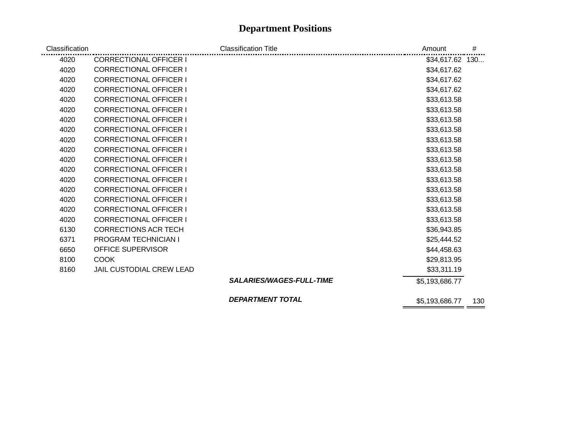| Classification |                                 | <b>Classification Title</b>     | Amount          | #   |
|----------------|---------------------------------|---------------------------------|-----------------|-----|
| 4020           | <b>CORRECTIONAL OFFICER I</b>   |                                 | \$34,617.62 130 |     |
| 4020           | <b>CORRECTIONAL OFFICER I</b>   |                                 | \$34,617.62     |     |
| 4020           | <b>CORRECTIONAL OFFICER I</b>   |                                 | \$34,617.62     |     |
| 4020           | <b>CORRECTIONAL OFFICER I</b>   |                                 | \$34,617.62     |     |
| 4020           | <b>CORRECTIONAL OFFICER I</b>   |                                 | \$33,613.58     |     |
| 4020           | <b>CORRECTIONAL OFFICER I</b>   |                                 | \$33,613.58     |     |
| 4020           | <b>CORRECTIONAL OFFICER I</b>   |                                 | \$33,613.58     |     |
| 4020           | <b>CORRECTIONAL OFFICER I</b>   |                                 | \$33,613.58     |     |
| 4020           | <b>CORRECTIONAL OFFICER I</b>   |                                 | \$33,613.58     |     |
| 4020           | <b>CORRECTIONAL OFFICER I</b>   |                                 | \$33,613.58     |     |
| 4020           | <b>CORRECTIONAL OFFICER I</b>   |                                 | \$33,613.58     |     |
| 4020           | <b>CORRECTIONAL OFFICER I</b>   |                                 | \$33,613.58     |     |
| 4020           | <b>CORRECTIONAL OFFICER I</b>   |                                 | \$33,613.58     |     |
| 4020           | <b>CORRECTIONAL OFFICER I</b>   |                                 | \$33,613.58     |     |
| 4020           | <b>CORRECTIONAL OFFICER I</b>   |                                 | \$33,613.58     |     |
| 4020           | <b>CORRECTIONAL OFFICER I</b>   |                                 | \$33,613.58     |     |
| 4020           | <b>CORRECTIONAL OFFICER I</b>   |                                 | \$33,613.58     |     |
| 6130           | <b>CORRECTIONS ACR TECH</b>     |                                 | \$36,943.85     |     |
| 6371           | <b>PROGRAM TECHNICIAN I</b>     |                                 | \$25,444.52     |     |
| 6650           | <b>OFFICE SUPERVISOR</b>        |                                 | \$44,458.63     |     |
| 8100           | <b>COOK</b>                     |                                 | \$29,813.95     |     |
| 8160           | <b>JAIL CUSTODIAL CREW LEAD</b> |                                 | \$33,311.19     |     |
|                |                                 | <b>SALARIES/WAGES-FULL-TIME</b> | \$5,193,686.77  |     |
|                |                                 | <b>DEPARTMENT TOTAL</b>         | \$5,193,686.77  | 130 |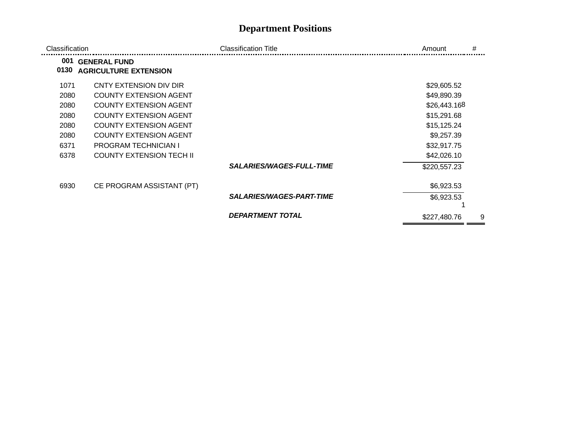| Classification |                                                     | <b>Classification Title</b>            | #<br>Amount       |
|----------------|-----------------------------------------------------|----------------------------------------|-------------------|
| 001<br>0130    | <b>GENERAL FUND</b><br><b>AGRICULTURE EXTENSION</b> |                                        |                   |
| 1071           | CNTY EXTENSION DIV DIR                              |                                        | \$29,605.52       |
| 2080           | <b>COUNTY EXTENSION AGENT</b>                       |                                        | \$49,890.39       |
| 2080           | <b>COUNTY EXTENSION AGENT</b>                       |                                        | \$26,443.168      |
| 2080           | <b>COUNTY EXTENSION AGENT</b>                       |                                        | \$15,291.68       |
| 2080           | <b>COUNTY EXTENSION AGENT</b>                       |                                        | \$15,125.24       |
| 2080           | <b>COUNTY EXTENSION AGENT</b>                       |                                        | \$9,257.39        |
| 6371           | <b>PROGRAM TECHNICIAN I</b>                         |                                        | \$32,917.75       |
| 6378           | <b>COUNTY EXTENSION TECH II</b>                     |                                        | \$42,026.10       |
|                |                                                     | <i><b>SALARIES/WAGES-FULL-TIME</b></i> | \$220,557.23      |
| 6930           | CE PROGRAM ASSISTANT (PT)                           |                                        | \$6,923.53        |
|                |                                                     | <b>SALARIES/WAGES-PART-TIME</b>        | \$6,923.53        |
|                |                                                     | <b>DEPARTMENT TOTAL</b>                | \$227,480.76<br>9 |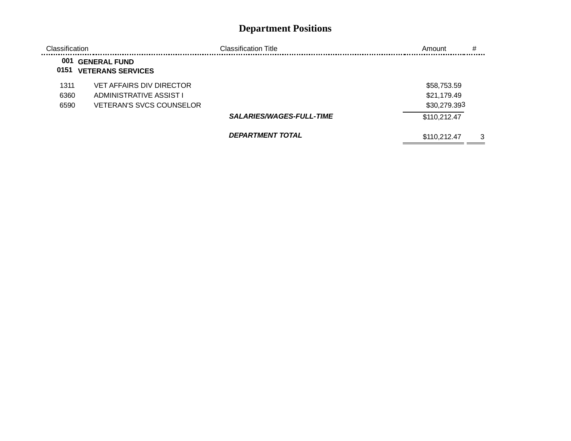| Classification |                                                 | <b>Classification Title</b>     | #<br>Amount       |
|----------------|-------------------------------------------------|---------------------------------|-------------------|
| 001<br>0151    | <b>GENERAL FUND</b><br><b>VETERANS SERVICES</b> |                                 |                   |
| 1311           | VET AFFAIRS DIV DIRECTOR                        |                                 | \$58,753.59       |
| 6360           | ADMINISTRATIVE ASSIST I                         |                                 | \$21,179.49       |
| 6590           | VETERAN'S SVCS COUNSELOR                        |                                 | \$30,279.393      |
|                |                                                 | <b>SALARIES/WAGES-FULL-TIME</b> | \$110,212.47      |
|                |                                                 | <b>DEPARTMENT TOTAL</b>         | \$110,212.47<br>3 |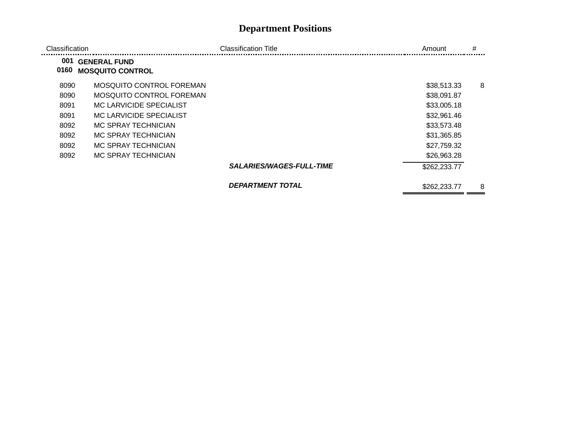| Classification |                                                | <b>Classification Title</b>     | Amount       | # |
|----------------|------------------------------------------------|---------------------------------|--------------|---|
| 001<br>0160    | <b>GENERAL FUND</b><br><b>MOSQUITO CONTROL</b> |                                 |              |   |
| 8090           | MOSQUITO CONTROL FOREMAN                       |                                 | \$38,513.33  | 8 |
| 8090           | MOSQUITO CONTROL FOREMAN                       |                                 | \$38,091.87  |   |
| 8091           | MC LARVICIDE SPECIALIST                        |                                 | \$33,005.18  |   |
| 8091           | MC LARVICIDE SPECIALIST                        |                                 | \$32,961.46  |   |
| 8092           | MC SPRAY TECHNICIAN                            |                                 | \$33,573.48  |   |
| 8092           | MC SPRAY TECHNICIAN                            |                                 | \$31,365.85  |   |
| 8092           | MC SPRAY TECHNICIAN                            |                                 | \$27,759.32  |   |
| 8092           | MC SPRAY TECHNICIAN                            |                                 | \$26,963.28  |   |
|                |                                                | <b>SALARIES/WAGES-FULL-TIME</b> | \$262,233.77 |   |
|                |                                                | <b>DEPARTMENT TOTAL</b>         | \$262,233.77 | 8 |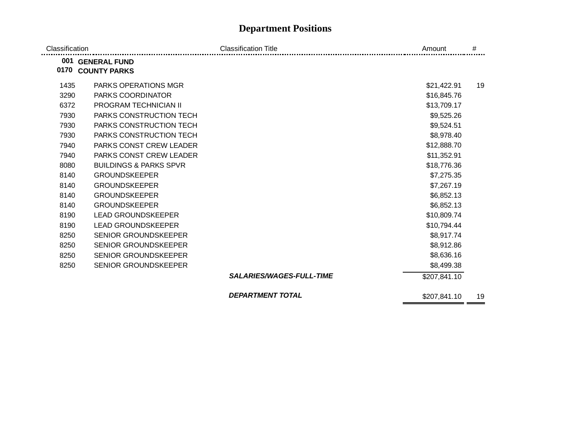| Classification |                                         | <b>Classification Title</b>     | Amount       | #  |
|----------------|-----------------------------------------|---------------------------------|--------------|----|
| 0170           | 001 GENERAL FUND<br><b>COUNTY PARKS</b> |                                 |              |    |
| 1435           | PARKS OPERATIONS MGR                    |                                 | \$21,422.91  | 19 |
| 3290           | <b>PARKS COORDINATOR</b>                |                                 | \$16,845.76  |    |
| 6372           | PROGRAM TECHNICIAN II                   |                                 | \$13,709.17  |    |
| 7930           | PARKS CONSTRUCTION TECH                 |                                 | \$9,525.26   |    |
| 7930           | PARKS CONSTRUCTION TECH                 |                                 | \$9,524.51   |    |
| 7930           | PARKS CONSTRUCTION TECH                 |                                 | \$8,978.40   |    |
| 7940           | PARKS CONST CREW LEADER                 |                                 | \$12,888.70  |    |
| 7940           | <b>PARKS CONST CREW LEADER</b>          |                                 | \$11,352.91  |    |
| 8080           | <b>BUILDINGS &amp; PARKS SPVR</b>       |                                 | \$18,776.36  |    |
| 8140           | <b>GROUNDSKEEPER</b>                    |                                 | \$7,275.35   |    |
| 8140           | <b>GROUNDSKEEPER</b>                    |                                 | \$7,267.19   |    |
| 8140           | <b>GROUNDSKEEPER</b>                    |                                 | \$6,852.13   |    |
| 8140           | <b>GROUNDSKEEPER</b>                    |                                 | \$6,852.13   |    |
| 8190           | <b>LEAD GROUNDSKEEPER</b>               |                                 | \$10,809.74  |    |
| 8190           | <b>LEAD GROUNDSKEEPER</b>               |                                 | \$10,794.44  |    |
| 8250           | <b>SENIOR GROUNDSKEEPER</b>             |                                 | \$8,917.74   |    |
| 8250           | <b>SENIOR GROUNDSKEEPER</b>             |                                 | \$8,912.86   |    |
| 8250           | <b>SENIOR GROUNDSKEEPER</b>             |                                 | \$8,636.16   |    |
| 8250           | <b>SENIOR GROUNDSKEEPER</b>             |                                 | \$8,499.38   |    |
|                |                                         | <b>SALARIES/WAGES-FULL-TIME</b> | \$207,841.10 |    |
|                |                                         | <b>DEPARTMENT TOTAL</b>         | \$207,841.10 | 19 |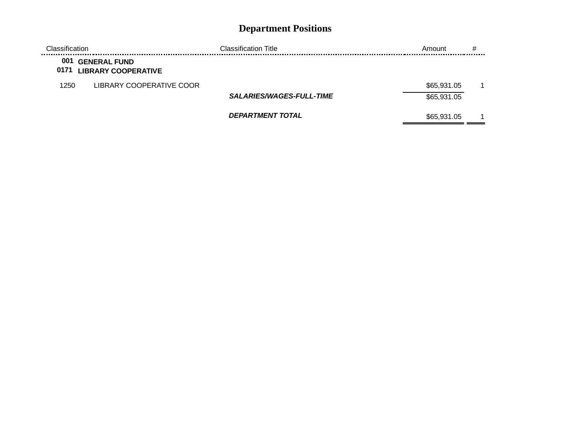| Classification |                                                   | <b>Classification Title</b>     | Amount      | # |
|----------------|---------------------------------------------------|---------------------------------|-------------|---|
| 001<br>0171    | <b>GENERAL FUND</b><br><b>LIBRARY COOPERATIVE</b> |                                 |             |   |
| 1250           | LIBRARY COOPERATIVE COOR                          |                                 | \$65,931.05 |   |
|                |                                                   | <b>SALARIES/WAGES-FULL-TIME</b> | \$65,931.05 |   |
|                |                                                   | DEPARTMENT TOTAL                | \$65,931.05 |   |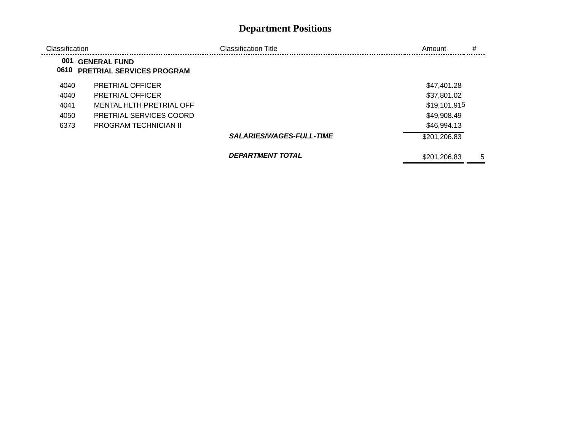| Classification |                                                         | <b>Classification Title</b>     | #<br>Amount       |
|----------------|---------------------------------------------------------|---------------------------------|-------------------|
| 001<br>0610    | <b>GENERAL FUND</b><br><b>PRETRIAL SERVICES PROGRAM</b> |                                 |                   |
| 4040           | <b>PRETRIAL OFFICER</b>                                 |                                 | \$47,401.28       |
| 4040           | <b>PRETRIAL OFFICER</b>                                 |                                 | \$37,801.02       |
| 4041           | MENTAL HLTH PRETRIAL OFF                                |                                 | \$19,101.915      |
| 4050           | PRETRIAL SERVICES COORD                                 |                                 | \$49,908.49       |
| 6373           | <b>PROGRAM TECHNICIAN II</b>                            |                                 | \$46,994.13       |
|                |                                                         | <b>SALARIES/WAGES-FULL-TIME</b> | \$201,206.83      |
|                |                                                         | <b>DEPARTMENT TOTAL</b>         | \$201,206.83<br>5 |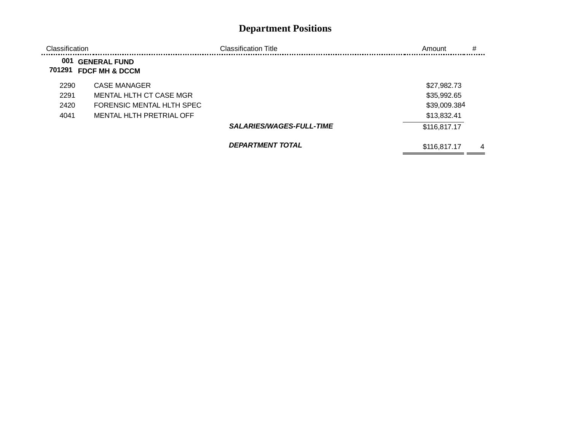| Classification |                                                  | Classification Title            | Amount       | # |
|----------------|--------------------------------------------------|---------------------------------|--------------|---|
| 001<br>701291  | <b>GENERAL FUND</b><br><b>FDCF MH &amp; DCCM</b> |                                 |              |   |
| 2290           | CASE MANAGER                                     |                                 | \$27,982.73  |   |
| 2291           | MENTAL HLTH CT CASE MGR                          |                                 | \$35,992.65  |   |
| 2420           | FORENSIC MENTAL HLTH SPEC                        |                                 | \$39,009.384 |   |
| 4041           | MENTAL HLTH PRETRIAL OFF                         |                                 | \$13,832.41  |   |
|                |                                                  | <b>SALARIES/WAGES-FULL-TIME</b> | \$116,817.17 |   |
|                |                                                  | <b>DEPARTMENT TOTAL</b>         | \$116,817.17 | 4 |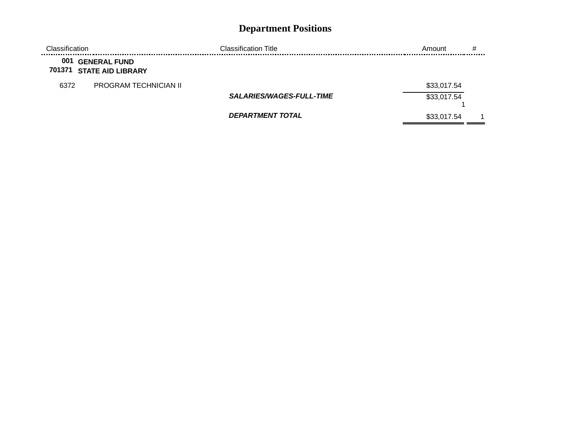| Classification. |                                                 | Classification Title            | Amount      | # |
|-----------------|-------------------------------------------------|---------------------------------|-------------|---|
| 001<br>701371   | <b>GENERAL FUND</b><br><b>STATE AID LIBRARY</b> |                                 |             |   |
| 6372            | <b>PROGRAM TECHNICIAN II</b>                    |                                 | \$33,017.54 |   |
|                 |                                                 | <b>SALARIES/WAGES-FULL-TIME</b> | \$33,017.54 |   |
|                 |                                                 | DEPARTMENT TOTAL                | \$33,017.54 |   |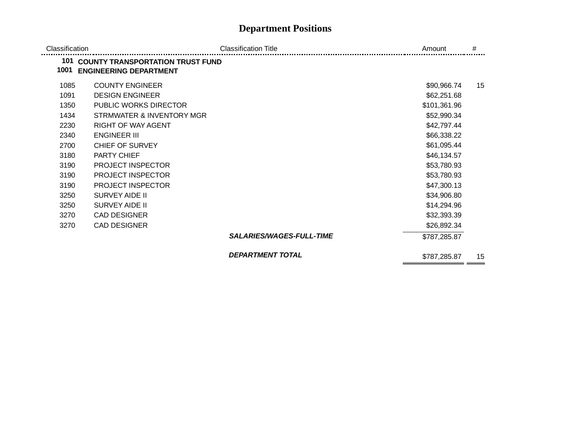| Classification |                                                                              | <b>Classification Title</b>     | Amount       | #  |
|----------------|------------------------------------------------------------------------------|---------------------------------|--------------|----|
| 1001           | <b>101 COUNTY TRANSPORTATION TRUST FUND</b><br><b>ENGINEERING DEPARTMENT</b> |                                 |              |    |
| 1085           | <b>COUNTY ENGINEER</b>                                                       |                                 | \$90,966.74  | 15 |
| 1091           | <b>DESIGN ENGINEER</b>                                                       |                                 | \$62,251.68  |    |
| 1350           | <b>PUBLIC WORKS DIRECTOR</b>                                                 |                                 | \$101,361.96 |    |
| 1434           | STRMWATER & INVENTORY MGR                                                    |                                 | \$52,990.34  |    |
| 2230           | <b>RIGHT OF WAY AGENT</b>                                                    |                                 | \$42,797.44  |    |
| 2340           | <b>ENGINEER III</b>                                                          |                                 | \$66,338.22  |    |
| 2700           | <b>CHIEF OF SURVEY</b>                                                       |                                 | \$61,095.44  |    |
| 3180           | PARTY CHIEF                                                                  |                                 | \$46,134.57  |    |
| 3190           | <b>PROJECT INSPECTOR</b>                                                     |                                 | \$53,780.93  |    |
| 3190           | PROJECT INSPECTOR                                                            |                                 | \$53,780.93  |    |
| 3190           | <b>PROJECT INSPECTOR</b>                                                     |                                 | \$47,300.13  |    |
| 3250           | <b>SURVEY AIDE II</b>                                                        |                                 | \$34,906.80  |    |
| 3250           | <b>SURVEY AIDE II</b>                                                        |                                 | \$14,294.96  |    |
| 3270           | <b>CAD DESIGNER</b>                                                          |                                 | \$32,393.39  |    |
| 3270           | CAD DESIGNER                                                                 |                                 | \$26,892.34  |    |
|                |                                                                              | <b>SALARIES/WAGES-FULL-TIME</b> | \$787,285.87 |    |
|                |                                                                              | <b>DEPARTMENT TOTAL</b>         | \$787,285.87 | 15 |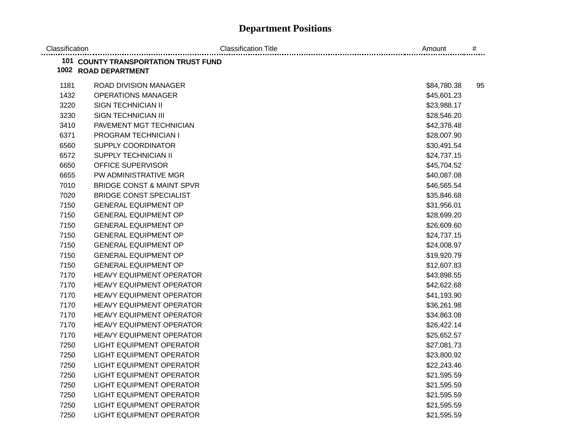| Classification | <b>Classification Title</b>          | Amount      | $\#$ |
|----------------|--------------------------------------|-------------|------|
|                | 101 COUNTY TRANSPORTATION TRUST FUND |             |      |
|                | 1002 ROAD DEPARTMENT                 |             |      |
| 1181           | ROAD DIVISION MANAGER                | \$84,780.38 | 95   |
| 1432           | <b>OPERATIONS MANAGER</b>            | \$45,601.23 |      |
| 3220           | <b>SIGN TECHNICIAN II</b>            | \$23,988.17 |      |
| 3230           | <b>SIGN TECHNICIAN III</b>           | \$28,546.20 |      |
| 3410           | PAVEMENT MGT TECHNICIAN              | \$42,378.48 |      |
| 6371           | PROGRAM TECHNICIAN I                 | \$28,007.90 |      |
| 6560           | SUPPLY COORDINATOR                   | \$30,491.54 |      |
| 6572           | <b>SUPPLY TECHNICIAN II</b>          | \$24,737.15 |      |
| 6650           | <b>OFFICE SUPERVISOR</b>             | \$45,704.52 |      |
| 6655           | PW ADMINISTRATIVE MGR                | \$40,087.08 |      |
| 7010           | <b>BRIDGE CONST &amp; MAINT SPVR</b> | \$46,565.54 |      |
| 7020           | <b>BRIDGE CONST SPECIALIST</b>       | \$35,846.68 |      |
| 7150           | <b>GENERAL EQUIPMENT OP</b>          | \$31,956.01 |      |
| 7150           | <b>GENERAL EQUIPMENT OP</b>          | \$28,699.20 |      |
| 7150           | <b>GENERAL EQUIPMENT OP</b>          | \$26,609.60 |      |
| 7150           | <b>GENERAL EQUIPMENT OP</b>          | \$24,737.15 |      |
| 7150           | <b>GENERAL EQUIPMENT OP</b>          | \$24,008.97 |      |
| 7150           | <b>GENERAL EQUIPMENT OP</b>          | \$19,920.79 |      |
| 7150           | <b>GENERAL EQUIPMENT OP</b>          | \$12,607.83 |      |
| 7170           | HEAVY EQUIPMENT OPERATOR             | \$43,898.55 |      |
| 7170           | <b>HEAVY EQUIPMENT OPERATOR</b>      | \$42,622.68 |      |
| 7170           | <b>HEAVY EQUIPMENT OPERATOR</b>      | \$41,193.90 |      |
| 7170           | <b>HEAVY EQUIPMENT OPERATOR</b>      | \$36,261.98 |      |
| 7170           | <b>HEAVY EQUIPMENT OPERATOR</b>      | \$34,863.08 |      |
| 7170           | <b>HEAVY EQUIPMENT OPERATOR</b>      | \$26,422.14 |      |
| 7170           | <b>HEAVY EQUIPMENT OPERATOR</b>      | \$25,652.57 |      |
| 7250           | <b>LIGHT EQUIPMENT OPERATOR</b>      | \$27,081.73 |      |
| 7250           | <b>LIGHT EQUIPMENT OPERATOR</b>      | \$23,800.92 |      |
| 7250           | <b>LIGHT EQUIPMENT OPERATOR</b>      | \$22,243.46 |      |
| 7250           | <b>LIGHT EQUIPMENT OPERATOR</b>      | \$21,595.59 |      |
| 7250           | <b>LIGHT EQUIPMENT OPERATOR</b>      | \$21,595.59 |      |
| 7250           | <b>LIGHT EQUIPMENT OPERATOR</b>      | \$21,595.59 |      |
| 7250           | <b>LIGHT EQUIPMENT OPERATOR</b>      | \$21,595.59 |      |
| 7250           | <b>LIGHT EQUIPMENT OPERATOR</b>      | \$21,595.59 |      |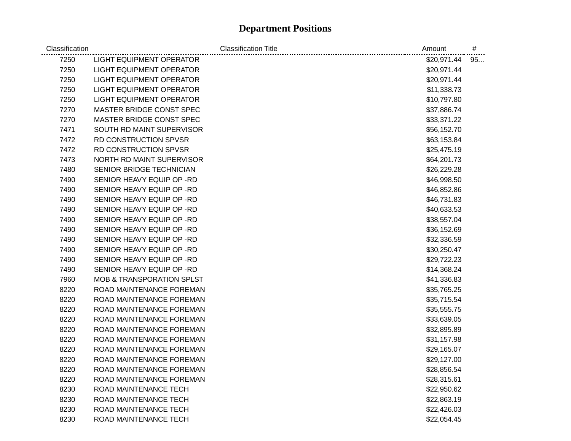| Classification | <b>Classification Title</b>          | Amount          | # |
|----------------|--------------------------------------|-----------------|---|
| 7250           | <b>LIGHT EQUIPMENT OPERATOR</b>      | $$20,971.44$ 95 |   |
| 7250           | <b>LIGHT EQUIPMENT OPERATOR</b>      | \$20,971.44     |   |
| 7250           | <b>LIGHT EQUIPMENT OPERATOR</b>      | \$20,971.44     |   |
| 7250           | <b>LIGHT EQUIPMENT OPERATOR</b>      | \$11,338.73     |   |
| 7250           | <b>LIGHT EQUIPMENT OPERATOR</b>      | \$10,797.80     |   |
| 7270           | MASTER BRIDGE CONST SPEC             | \$37,886.74     |   |
| 7270           | MASTER BRIDGE CONST SPEC             | \$33,371.22     |   |
| 7471           | SOUTH RD MAINT SUPERVISOR            | \$56,152.70     |   |
| 7472           | <b>RD CONSTRUCTION SPVSR</b>         | \$63,153.84     |   |
| 7472           | <b>RD CONSTRUCTION SPVSR</b>         | \$25,475.19     |   |
| 7473           | NORTH RD MAINT SUPERVISOR            | \$64,201.73     |   |
| 7480           | SENIOR BRIDGE TECHNICIAN             | \$26,229.28     |   |
| 7490           | SENIOR HEAVY EQUIP OP - RD           | \$46,998.50     |   |
| 7490           | SENIOR HEAVY EQUIP OP - RD           | \$46,852.86     |   |
| 7490           | SENIOR HEAVY EQUIP OP - RD           | \$46,731.83     |   |
| 7490           | SENIOR HEAVY EQUIP OP -RD            | \$40,633.53     |   |
| 7490           | SENIOR HEAVY EQUIP OP - RD           | \$38,557.04     |   |
| 7490           | SENIOR HEAVY EQUIP OP - RD           | \$36,152.69     |   |
| 7490           | SENIOR HEAVY EQUIP OP - RD           | \$32,336.59     |   |
| 7490           | SENIOR HEAVY EQUIP OP - RD           | \$30,250.47     |   |
| 7490           | SENIOR HEAVY EQUIP OP - RD           | \$29,722.23     |   |
| 7490           | SENIOR HEAVY EQUIP OP - RD           | \$14,368.24     |   |
| 7960           | <b>MOB &amp; TRANSPORATION SPLST</b> | \$41,336.83     |   |
| 8220           | ROAD MAINTENANCE FOREMAN             | \$35,765.25     |   |
| 8220           | ROAD MAINTENANCE FOREMAN             | \$35,715.54     |   |
| 8220           | ROAD MAINTENANCE FOREMAN             | \$35,555.75     |   |
| 8220           | ROAD MAINTENANCE FOREMAN             | \$33,639.05     |   |
| 8220           | ROAD MAINTENANCE FOREMAN             | \$32,895.89     |   |
| 8220           | ROAD MAINTENANCE FOREMAN             | \$31,157.98     |   |
| 8220           | ROAD MAINTENANCE FOREMAN             | \$29,165.07     |   |
| 8220           | ROAD MAINTENANCE FOREMAN             | \$29,127.00     |   |
| 8220           | ROAD MAINTENANCE FOREMAN             | \$28,856.54     |   |
| 8220           | ROAD MAINTENANCE FOREMAN             | \$28,315.61     |   |
| 8230           | ROAD MAINTENANCE TECH                | \$22,950.62     |   |
| 8230           | ROAD MAINTENANCE TECH                | \$22,863.19     |   |
| 8230           | ROAD MAINTENANCE TECH                | \$22,426.03     |   |
| 8230           | ROAD MAINTENANCE TECH                | \$22,054.45     |   |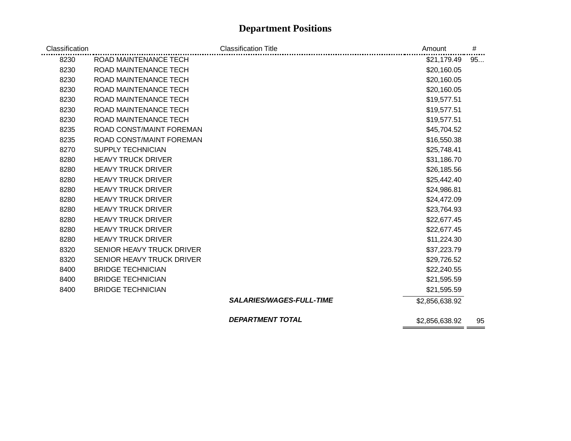| Classification |                           | <b>Classification Title</b>     | Amount         | #  |
|----------------|---------------------------|---------------------------------|----------------|----|
| 8230           | ROAD MAINTENANCE TECH     |                                 | \$21,179.49    | 95 |
| 8230           | ROAD MAINTENANCE TECH     |                                 | \$20,160.05    |    |
| 8230           | ROAD MAINTENANCE TECH     |                                 | \$20,160.05    |    |
| 8230           | ROAD MAINTENANCE TECH     |                                 | \$20,160.05    |    |
| 8230           | ROAD MAINTENANCE TECH     |                                 | \$19,577.51    |    |
| 8230           | ROAD MAINTENANCE TECH     |                                 | \$19,577.51    |    |
| 8230           | ROAD MAINTENANCE TECH     |                                 | \$19,577.51    |    |
| 8235           | ROAD CONST/MAINT FOREMAN  |                                 | \$45,704.52    |    |
| 8235           | ROAD CONST/MAINT FOREMAN  |                                 | \$16,550.38    |    |
| 8270           | <b>SUPPLY TECHNICIAN</b>  |                                 | \$25,748.41    |    |
| 8280           | <b>HEAVY TRUCK DRIVER</b> |                                 | \$31,186.70    |    |
| 8280           | <b>HEAVY TRUCK DRIVER</b> |                                 | \$26,185.56    |    |
| 8280           | <b>HEAVY TRUCK DRIVER</b> |                                 | \$25,442.40    |    |
| 8280           | <b>HEAVY TRUCK DRIVER</b> |                                 | \$24,986.81    |    |
| 8280           | <b>HEAVY TRUCK DRIVER</b> |                                 | \$24,472.09    |    |
| 8280           | <b>HEAVY TRUCK DRIVER</b> |                                 | \$23,764.93    |    |
| 8280           | <b>HEAVY TRUCK DRIVER</b> |                                 | \$22,677.45    |    |
| 8280           | <b>HEAVY TRUCK DRIVER</b> |                                 | \$22,677.45    |    |
| 8280           | <b>HEAVY TRUCK DRIVER</b> |                                 | \$11,224.30    |    |
| 8320           | SENIOR HEAVY TRUCK DRIVER |                                 | \$37,223.79    |    |
| 8320           | SENIOR HEAVY TRUCK DRIVER |                                 | \$29,726.52    |    |
| 8400           | <b>BRIDGE TECHNICIAN</b>  |                                 | \$22,240.55    |    |
| 8400           | <b>BRIDGE TECHNICIAN</b>  |                                 | \$21,595.59    |    |
| 8400           | <b>BRIDGE TECHNICIAN</b>  |                                 | \$21,595.59    |    |
|                |                           | <b>SALARIES/WAGES-FULL-TIME</b> | \$2,856,638.92 |    |
|                |                           | <b>DEPARTMENT TOTAL</b>         | \$2,856,638.92 | 95 |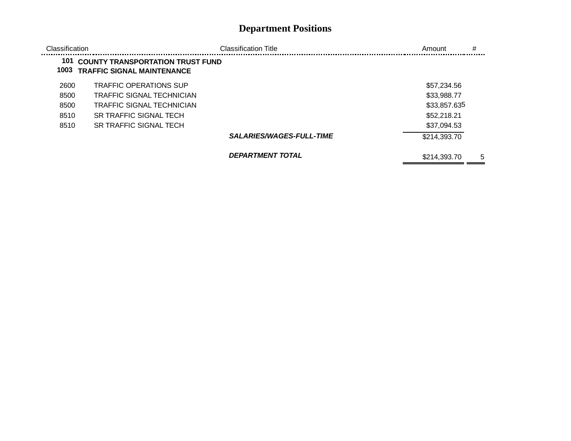| Classification |                                                                              | <b>Classification Title</b>     | #<br>Amount       |
|----------------|------------------------------------------------------------------------------|---------------------------------|-------------------|
| 101<br>1003    | <b>COUNTY TRANSPORTATION TRUST FUND</b><br><b>TRAFFIC SIGNAL MAINTENANCE</b> |                                 |                   |
| 2600           | <b>TRAFFIC OPERATIONS SUP</b>                                                |                                 | \$57,234.56       |
| 8500           | TRAFFIC SIGNAL TECHNICIAN                                                    |                                 | \$33,988.77       |
| 8500           | TRAFFIC SIGNAL TECHNICIAN                                                    |                                 | \$33,857.635      |
| 8510           | <b>SR TRAFFIC SIGNAL TECH</b>                                                |                                 | \$52,218.21       |
| 8510           | <b>SR TRAFFIC SIGNAL TECH</b>                                                |                                 | \$37,094.53       |
|                |                                                                              | <b>SALARIES/WAGES-FULL-TIME</b> | \$214,393.70      |
|                |                                                                              | <b>DEPARTMENT TOTAL</b>         | \$214,393.70<br>5 |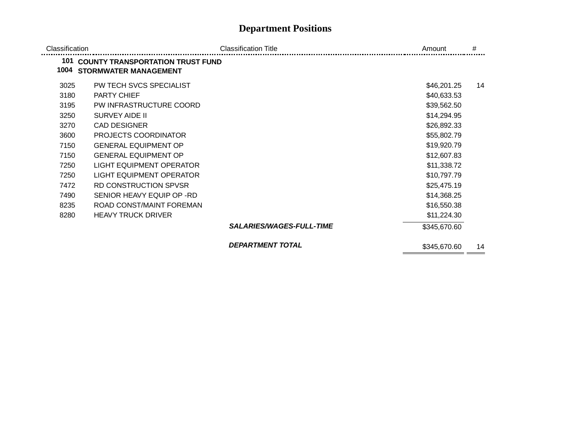| Classification |                                                                         | <b>Classification Title</b>     | Amount       | #  |
|----------------|-------------------------------------------------------------------------|---------------------------------|--------------|----|
| 101<br>1004    | <b>COUNTY TRANSPORTATION TRUST FUND</b><br><b>STORMWATER MANAGEMENT</b> |                                 |              |    |
| 3025           | PW TECH SVCS SPECIALIST                                                 |                                 | \$46,201.25  | 14 |
| 3180           | <b>PARTY CHIEF</b>                                                      |                                 | \$40,633.53  |    |
| 3195           | PW INFRASTRUCTURE COORD                                                 |                                 | \$39,562.50  |    |
| 3250           | SURVEY AIDE II                                                          |                                 | \$14,294.95  |    |
| 3270           | <b>CAD DESIGNER</b>                                                     |                                 | \$26,892.33  |    |
| 3600           | <b>PROJECTS COORDINATOR</b>                                             |                                 | \$55,802.79  |    |
| 7150           | <b>GENERAL EQUIPMENT OP</b>                                             |                                 | \$19,920.79  |    |
| 7150           | <b>GENERAL EQUIPMENT OP</b>                                             |                                 | \$12,607.83  |    |
| 7250           | <b>LIGHT EQUIPMENT OPERATOR</b>                                         |                                 | \$11,338.72  |    |
| 7250           | <b>LIGHT EQUIPMENT OPERATOR</b>                                         |                                 | \$10,797.79  |    |
| 7472           | RD CONSTRUCTION SPVSR                                                   |                                 | \$25,475.19  |    |
| 7490           | SENIOR HEAVY EQUIP OP -RD                                               |                                 | \$14,368.25  |    |
| 8235           | ROAD CONST/MAINT FOREMAN                                                |                                 | \$16,550.38  |    |
| 8280           | <b>HEAVY TRUCK DRIVER</b>                                               |                                 | \$11,224.30  |    |
|                |                                                                         | <i>SALARIES/WAGES-FULL-TIME</i> | \$345,670.60 |    |
|                |                                                                         | <b>DEPARTMENT TOTAL</b>         | \$345,670.60 | 14 |

 $=$   $=$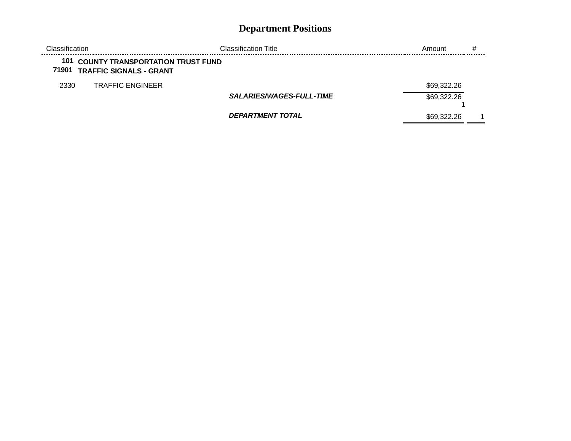| ่ : lassification |                                                                              | Classification Title.           | Amount      | # |
|-------------------|------------------------------------------------------------------------------|---------------------------------|-------------|---|
|                   | <b>101 COUNTY TRANSPORTATION TRUST FUND</b><br>71901 TRAFFIC SIGNALS - GRANT |                                 |             |   |
| 2330              | <b>TRAFFIC ENGINEER</b>                                                      |                                 | \$69,322.26 |   |
|                   |                                                                              | <b>SALARIES/WAGES-FULL-TIME</b> | \$69,322.26 |   |
|                   |                                                                              | DEPARTMENT TOTAL                | \$69,322.26 |   |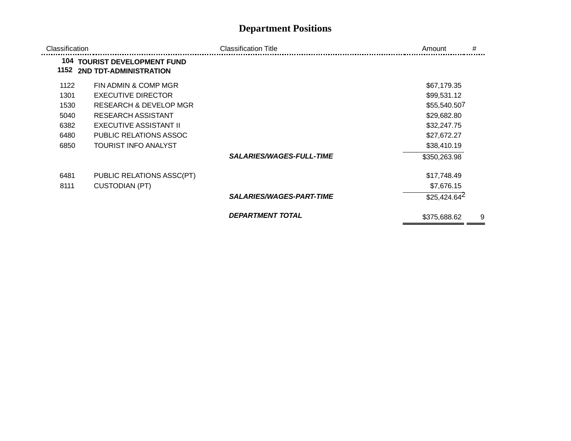| Classification |                                                               | <b>Classification Title</b>     | #<br>Amount       |  |
|----------------|---------------------------------------------------------------|---------------------------------|-------------------|--|
| 1152           | <b>104 TOURIST DEVELOPMENT FUND</b><br>2ND TDT-ADMINISTRATION |                                 |                   |  |
| 1122           | FIN ADMIN & COMP MGR                                          |                                 | \$67,179.35       |  |
| 1301           | <b>EXECUTIVE DIRECTOR</b>                                     |                                 | \$99,531.12       |  |
| 1530           | <b>RESEARCH &amp; DEVELOP MGR</b>                             |                                 | \$55,540.507      |  |
| 5040           | <b>RESEARCH ASSISTANT</b>                                     |                                 | \$29,682.80       |  |
| 6382           | <b>EXECUTIVE ASSISTANT II</b>                                 |                                 | \$32,247.75       |  |
| 6480           | PUBLIC RELATIONS ASSOC                                        |                                 | \$27,672.27       |  |
| 6850           | <b>TOURIST INFO ANALYST</b>                                   |                                 | \$38,410.19       |  |
|                |                                                               | <b>SALARIES/WAGES-FULL-TIME</b> | \$350,263.98      |  |
| 6481           | PUBLIC RELATIONS ASSC(PT)                                     |                                 | \$17,748.49       |  |
| 8111           | <b>CUSTODIAN (PT)</b>                                         |                                 | \$7,676.15        |  |
|                |                                                               | <b>SALARIES/WAGES-PART-TIME</b> | $$25,424.64^2$    |  |
|                |                                                               | <b>DEPARTMENT TOTAL</b>         | 9<br>\$375,688.62 |  |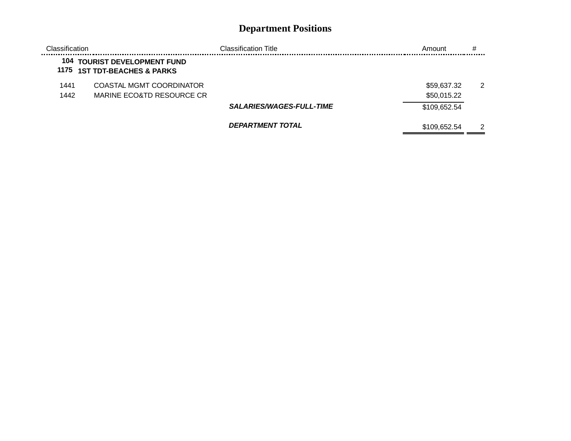| Classification |                                                                     | <b>Classification Title</b>     | Amount                     | # |
|----------------|---------------------------------------------------------------------|---------------------------------|----------------------------|---|
|                | <b>104 TOURIST DEVELOPMENT FUND</b><br>1175 1ST TDT-BEACHES & PARKS |                                 |                            |   |
| 1441<br>1442   | <b>COASTAL MGMT COORDINATOR</b><br>MARINE ECO&TD RESOURCE CR        |                                 | \$59,637.32<br>\$50,015.22 | 2 |
|                |                                                                     | <b>SALARIES/WAGES-FULL-TIME</b> | \$109,652.54               |   |
|                |                                                                     | <b>DEPARTMENT TOTAL</b>         | \$109,652.54               | 2 |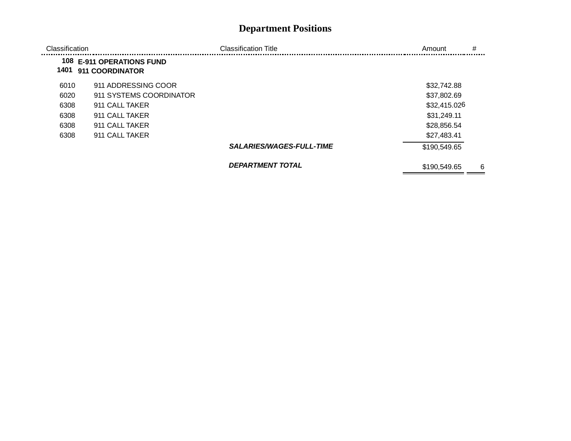| Classification |                                              | <b>Classification Title</b>     | #<br>Amount        |
|----------------|----------------------------------------------|---------------------------------|--------------------|
| 1401           | 108 E-911 OPERATIONS FUND<br>911 COORDINATOR |                                 |                    |
| 6010           | 911 ADDRESSING COOR                          |                                 | \$32,742.88        |
| 6020           | 911 SYSTEMS COORDINATOR                      |                                 | \$37,802.69        |
| 6308           | 911 CALL TAKER                               |                                 | \$32,415.026       |
| 6308           | 911 CALL TAKER                               |                                 | \$31,249.11        |
| 6308           | 911 CALL TAKER                               |                                 | \$28,856.54        |
| 6308           | 911 CALL TAKER                               |                                 | \$27,483.41        |
|                |                                              | <b>SALARIES/WAGES-FULL-TIME</b> | \$190,549.65       |
|                |                                              | <b>DEPARTMENT TOTAL</b>         | \$190,549.65<br>-6 |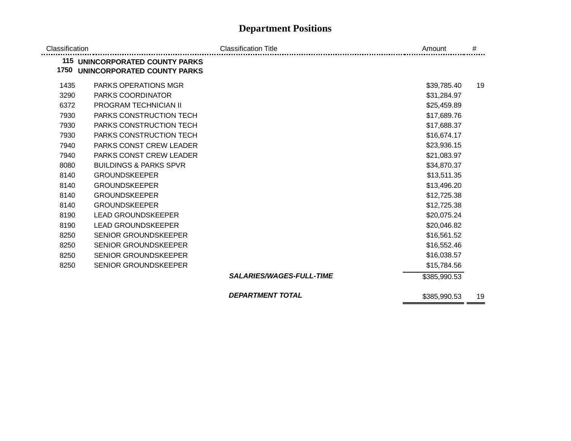| Classification |                                                                              | <b>Classification Title</b>     | Amount       | #  |
|----------------|------------------------------------------------------------------------------|---------------------------------|--------------|----|
| 1750           | <b>115 UNINCORPORATED COUNTY PARKS</b><br><b>UNINCORPORATED COUNTY PARKS</b> |                                 |              |    |
| 1435           | PARKS OPERATIONS MGR                                                         |                                 | \$39,785.40  | 19 |
| 3290           | PARKS COORDINATOR                                                            |                                 | \$31,284.97  |    |
| 6372           | <b>PROGRAM TECHNICIAN II</b>                                                 |                                 | \$25,459.89  |    |
| 7930           | PARKS CONSTRUCTION TECH                                                      |                                 | \$17,689.76  |    |
| 7930           | PARKS CONSTRUCTION TECH                                                      |                                 | \$17,688.37  |    |
| 7930           | PARKS CONSTRUCTION TECH                                                      |                                 | \$16,674.17  |    |
| 7940           | <b>PARKS CONST CREW LEADER</b>                                               |                                 | \$23,936.15  |    |
| 7940           | <b>PARKS CONST CREW LEADER</b>                                               |                                 | \$21,083.97  |    |
| 8080           | <b>BUILDINGS &amp; PARKS SPVR</b>                                            |                                 | \$34,870.37  |    |
| 8140           | <b>GROUNDSKEEPER</b>                                                         |                                 | \$13,511.35  |    |
| 8140           | <b>GROUNDSKEEPER</b>                                                         |                                 | \$13,496.20  |    |
| 8140           | <b>GROUNDSKEEPER</b>                                                         |                                 | \$12,725.38  |    |
| 8140           | <b>GROUNDSKEEPER</b>                                                         |                                 | \$12,725.38  |    |
| 8190           | <b>LEAD GROUNDSKEEPER</b>                                                    |                                 | \$20,075.24  |    |
| 8190           | <b>LEAD GROUNDSKEEPER</b>                                                    |                                 | \$20,046.82  |    |
| 8250           | <b>SENIOR GROUNDSKEEPER</b>                                                  |                                 | \$16,561.52  |    |
| 8250           | <b>SENIOR GROUNDSKEEPER</b>                                                  |                                 | \$16,552.46  |    |
| 8250           | <b>SENIOR GROUNDSKEEPER</b>                                                  |                                 | \$16,038.57  |    |
| 8250           | SENIOR GROUNDSKEEPER                                                         |                                 | \$15,784.56  |    |
|                |                                                                              | <b>SALARIES/WAGES-FULL-TIME</b> | \$385,990.53 |    |
|                |                                                                              | <b>DEPARTMENT TOTAL</b>         | \$385,990.53 | 19 |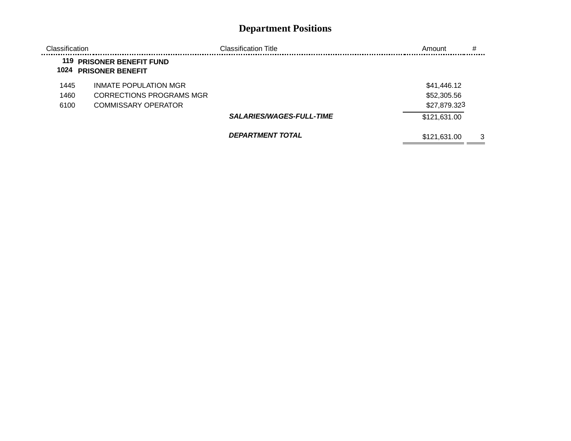| Classification |                                                         | <b>Classification Title</b>     | #<br>Amount  |   |
|----------------|---------------------------------------------------------|---------------------------------|--------------|---|
| 119<br>1024    | <b>PRISONER BENEFIT FUND</b><br><b>PRISONER BENEFIT</b> |                                 |              |   |
| 1445           | INMATE POPULATION MGR                                   |                                 | \$41,446.12  |   |
| 1460           | CORRECTIONS PROGRAMS MGR                                |                                 | \$52,305.56  |   |
| 6100           | <b>COMMISSARY OPERATOR</b>                              |                                 | \$27,879.323 |   |
|                |                                                         | <b>SALARIES/WAGES-FULL-TIME</b> | \$121,631.00 |   |
|                |                                                         | <b>DEPARTMENT TOTAL</b>         | \$121,631.00 | 3 |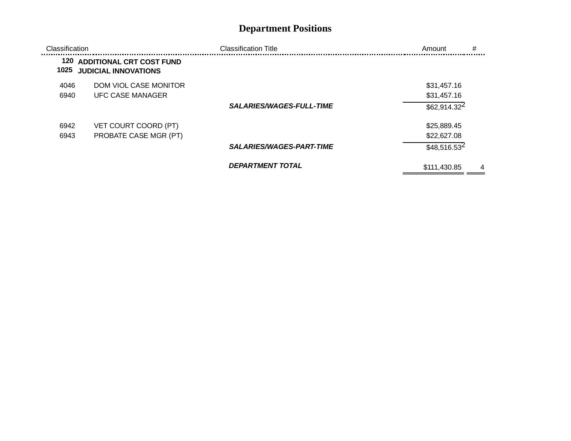| Classification |                                                                | <b>Classification Title</b>     | #<br>Amount       |
|----------------|----------------------------------------------------------------|---------------------------------|-------------------|
| 120<br>1025    | <b>ADDITIONAL CRT COST FUND</b><br><b>JUDICIAL INNOVATIONS</b> |                                 |                   |
| 4046           | DOM VIOL CASE MONITOR                                          |                                 | \$31,457.16       |
| 6940           | UFC CASE MANAGER                                               |                                 | \$31,457.16       |
|                |                                                                | <b>SALARIES/WAGES-FULL-TIME</b> | $$62,914.32^2$    |
| 6942           | VET COURT COORD (PT)                                           |                                 | \$25,889.45       |
| 6943           | PROBATE CASE MGR (PT)                                          |                                 | \$22,627.08       |
|                |                                                                | <b>SALARIES/WAGES-PART-TIME</b> | $$48,516.53^2$    |
|                |                                                                | <b>DEPARTMENT TOTAL</b>         | \$111,430.85<br>4 |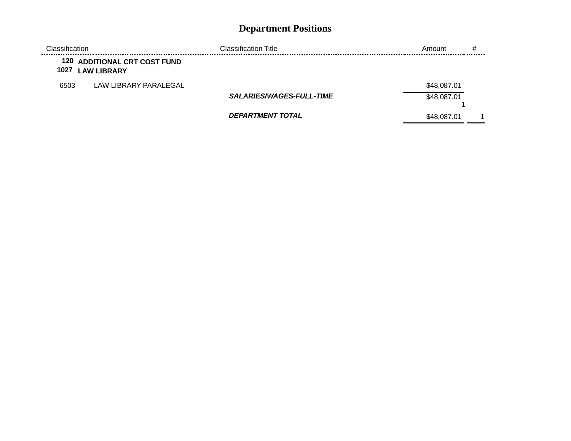| Classification |                                                           | <b>Classification Title</b>     | Amount      | # |
|----------------|-----------------------------------------------------------|---------------------------------|-------------|---|
| 1027           | <b>120 ADDITIONAL CRT COST FUND</b><br><b>LAW LIBRARY</b> |                                 |             |   |
| 6503           | LAW LIBRARY PARALEGAL                                     |                                 | \$48,087.01 |   |
|                |                                                           | <b>SALARIES/WAGES-FULL-TIME</b> | \$48,087.01 |   |
|                |                                                           | DEPARTMENT TOTAL                | \$48,087.01 |   |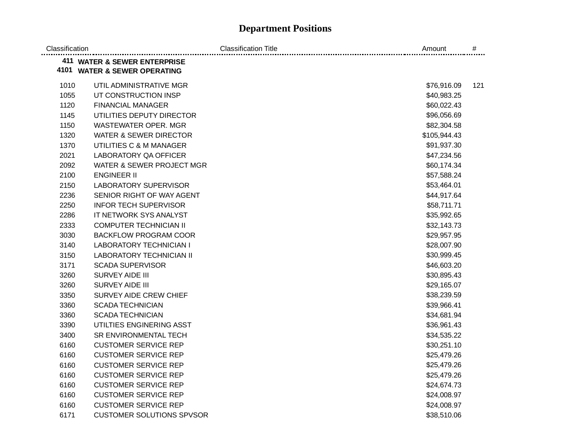| Classification |                                   | <b>Classification Title</b> | Amount       | #   |
|----------------|-----------------------------------|-----------------------------|--------------|-----|
|                | 411 WATER & SEWER ENTERPRISE      |                             |              |     |
|                | 4101 WATER & SEWER OPERATING      |                             |              |     |
| 1010           | UTIL ADMINISTRATIVE MGR           |                             | \$76,916.09  | 121 |
| 1055           | UT CONSTRUCTION INSP              |                             | \$40,983.25  |     |
| 1120           | <b>FINANCIAL MANAGER</b>          |                             | \$60,022.43  |     |
| 1145           | UTILITIES DEPUTY DIRECTOR         |                             | \$96,056.69  |     |
| 1150           | <b>WASTEWATER OPER. MGR</b>       |                             | \$82,304.58  |     |
| 1320           | <b>WATER &amp; SEWER DIRECTOR</b> |                             | \$105,944.43 |     |
| 1370           | UTILITIES C & M MANAGER           |                             | \$91,937.30  |     |
| 2021           | <b>LABORATORY QA OFFICER</b>      |                             | \$47,234.56  |     |
| 2092           | WATER & SEWER PROJECT MGR         |                             | \$60,174.34  |     |
| 2100           | <b>ENGINEER II</b>                |                             | \$57,588.24  |     |
| 2150           | <b>LABORATORY SUPERVISOR</b>      |                             | \$53,464.01  |     |
| 2236           | SENIOR RIGHT OF WAY AGENT         |                             | \$44,917.64  |     |
| 2250           | <b>INFOR TECH SUPERVISOR</b>      |                             | \$58,711.71  |     |
| 2286           | IT NETWORK SYS ANALYST            |                             | \$35,992.65  |     |
| 2333           | <b>COMPUTER TECHNICIAN II</b>     |                             | \$32,143.73  |     |
| 3030           | <b>BACKFLOW PROGRAM COOR</b>      |                             | \$29,957.95  |     |
| 3140           | <b>LABORATORY TECHNICIAN I</b>    |                             | \$28,007.90  |     |
| 3150           | <b>LABORATORY TECHNICIAN II</b>   |                             | \$30,999.45  |     |
| 3171           | <b>SCADA SUPERVISOR</b>           |                             | \$46,603.20  |     |
| 3260           | SURVEY AIDE III                   |                             | \$30,895.43  |     |
| 3260           | <b>SURVEY AIDE III</b>            |                             | \$29,165.07  |     |
| 3350           | SURVEY AIDE CREW CHIEF            |                             | \$38,239.59  |     |
| 3360           | <b>SCADA TECHNICIAN</b>           |                             | \$39,966.41  |     |
| 3360           | <b>SCADA TECHNICIAN</b>           |                             | \$34,681.94  |     |
| 3390           | UTILTIES ENGINERING ASST          |                             | \$36,961.43  |     |
| 3400           | SR ENVIRONMENTAL TECH             |                             | \$34,535.22  |     |
| 6160           | <b>CUSTOMER SERVICE REP</b>       |                             | \$30,251.10  |     |
| 6160           | <b>CUSTOMER SERVICE REP</b>       |                             | \$25,479.26  |     |
| 6160           | <b>CUSTOMER SERVICE REP</b>       |                             | \$25,479.26  |     |
| 6160           | <b>CUSTOMER SERVICE REP</b>       |                             | \$25,479.26  |     |
| 6160           | <b>CUSTOMER SERVICE REP</b>       |                             | \$24,674.73  |     |
| 6160           | <b>CUSTOMER SERVICE REP</b>       |                             | \$24,008.97  |     |
| 6160           | <b>CUSTOMER SERVICE REP</b>       |                             | \$24,008.97  |     |
| 6171           | <b>CUSTOMER SOLUTIONS SPVSOR</b>  |                             | \$38,510.06  |     |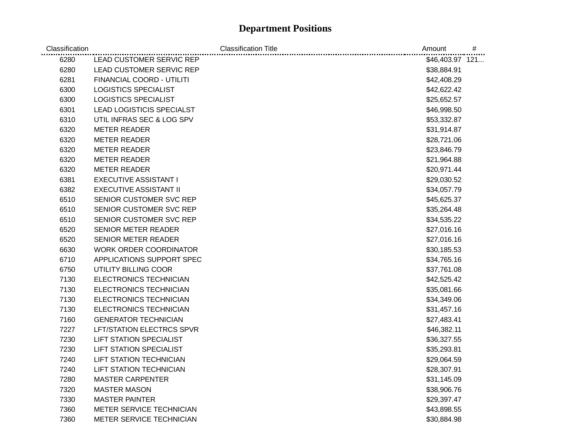| Classification | <b>Classification Title</b>      | Amount          | # |
|----------------|----------------------------------|-----------------|---|
| 6280           | <b>LEAD CUSTOMER SERVIC REP</b>  | \$46,403.97 121 |   |
| 6280           | <b>LEAD CUSTOMER SERVIC REP</b>  | \$38,884.91     |   |
| 6281           | FINANCIAL COORD - UTILITI        | \$42,408.29     |   |
| 6300           | <b>LOGISTICS SPECIALIST</b>      | \$42,622.42     |   |
| 6300           | <b>LOGISTICS SPECIALIST</b>      | \$25,652.57     |   |
| 6301           | <b>LEAD LOGISTICIS SPECIALST</b> | \$46,998.50     |   |
| 6310           | UTIL INFRAS SEC & LOG SPV        | \$53,332.87     |   |
| 6320           | <b>METER READER</b>              | \$31,914.87     |   |
| 6320           | <b>METER READER</b>              | \$28,721.06     |   |
| 6320           | <b>METER READER</b>              | \$23,846.79     |   |
| 6320           | <b>METER READER</b>              | \$21,964.88     |   |
| 6320           | <b>METER READER</b>              | \$20,971.44     |   |
| 6381           | <b>EXECUTIVE ASSISTANT I</b>     | \$29,030.52     |   |
| 6382           | <b>EXECUTIVE ASSISTANT II</b>    | \$34,057.79     |   |
| 6510           | SENIOR CUSTOMER SVC REP          | \$45,625.37     |   |
| 6510           | SENIOR CUSTOMER SVC REP          | \$35,264.48     |   |
| 6510           | SENIOR CUSTOMER SVC REP          | \$34,535.22     |   |
| 6520           | <b>SENIOR METER READER</b>       | \$27,016.16     |   |
| 6520           | SENIOR METER READER              | \$27,016.16     |   |
| 6630           | <b>WORK ORDER COORDINATOR</b>    | \$30,185.53     |   |
| 6710           | APPLICATIONS SUPPORT SPEC        | \$34,765.16     |   |
| 6750           | UTILITY BILLING COOR             | \$37,761.08     |   |
| 7130           | ELECTRONICS TECHNICIAN           | \$42,525.42     |   |
| 7130           | ELECTRONICS TECHNICIAN           | \$35,081.66     |   |
| 7130           | <b>ELECTRONICS TECHNICIAN</b>    | \$34,349.06     |   |
| 7130           | <b>ELECTRONICS TECHNICIAN</b>    | \$31,457.16     |   |
| 7160           | <b>GENERATOR TECHNICIAN</b>      | \$27,483.41     |   |
| 7227           | LFT/STATION ELECTRCS SPVR        | \$46,382.11     |   |
| 7230           | <b>LIFT STATION SPECIALIST</b>   | \$36,327.55     |   |
| 7230           | <b>LIFT STATION SPECIALIST</b>   | \$35,293.81     |   |
| 7240           | <b>LIFT STATION TECHNICIAN</b>   | \$29,064.59     |   |
| 7240           | <b>LIFT STATION TECHNICIAN</b>   | \$28,307.91     |   |
| 7280           | <b>MASTER CARPENTER</b>          | \$31,145.09     |   |
| 7320           | <b>MASTER MASON</b>              | \$38,906.76     |   |
| 7330           | <b>MASTER PAINTER</b>            | \$29,397.47     |   |
| 7360           | METER SERVICE TECHNICIAN         | \$43,898.55     |   |
| 7360           | METER SERVICE TECHNICIAN         | \$30,884.98     |   |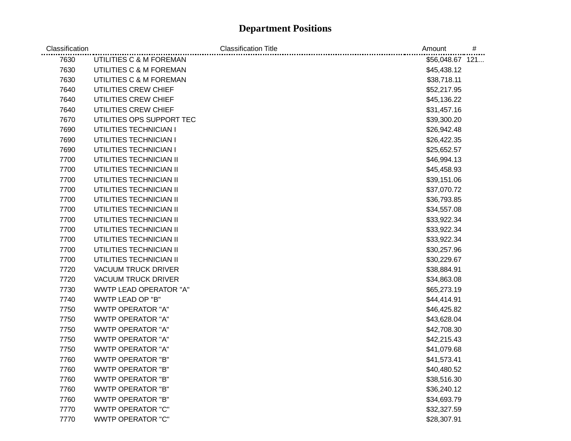| Classification | <b>Classification Title</b>   | Amount          | # |
|----------------|-------------------------------|-----------------|---|
| 7630           | UTILITIES C & M FOREMAN       | \$56,048.67 121 |   |
| 7630           | UTILITIES C & M FOREMAN       | \$45,438.12     |   |
| 7630           | UTILITIES C & M FOREMAN       | \$38,718.11     |   |
| 7640           | UTILITIES CREW CHIEF          | \$52,217.95     |   |
| 7640           | UTILITIES CREW CHIEF          | \$45,136.22     |   |
| 7640           | UTILITIES CREW CHIEF          | \$31,457.16     |   |
| 7670           | UTILITIES OPS SUPPORT TEC     | \$39,300.20     |   |
| 7690           | UTILITIES TECHNICIAN I        | \$26,942.48     |   |
| 7690           | UTILITIES TECHNICIAN I        | \$26,422.35     |   |
| 7690           | UTILITIES TECHNICIAN I        | \$25,652.57     |   |
| 7700           | UTILITIES TECHNICIAN II       | \$46,994.13     |   |
| 7700           | UTILITIES TECHNICIAN II       | \$45,458.93     |   |
| 7700           | UTILITIES TECHNICIAN II       | \$39,151.06     |   |
| 7700           | UTILITIES TECHNICIAN II       | \$37,070.72     |   |
| 7700           | UTILITIES TECHNICIAN II       | \$36,793.85     |   |
| 7700           | UTILITIES TECHNICIAN II       | \$34,557.08     |   |
| 7700           | UTILITIES TECHNICIAN II       | \$33,922.34     |   |
| 7700           | UTILITIES TECHNICIAN II       | \$33,922.34     |   |
| 7700           | UTILITIES TECHNICIAN II       | \$33,922.34     |   |
| 7700           | UTILITIES TECHNICIAN II       | \$30,257.96     |   |
| 7700           | UTILITIES TECHNICIAN II       | \$30,229.67     |   |
| 7720           | <b>VACUUM TRUCK DRIVER</b>    | \$38,884.91     |   |
| 7720           | <b>VACUUM TRUCK DRIVER</b>    | \$34,863.08     |   |
| 7730           | <b>WWTP LEAD OPERATOR "A"</b> | \$65,273.19     |   |
| 7740           | WWTP LEAD OP "B"              | \$44,414.91     |   |
| 7750           | <b>WWTP OPERATOR "A"</b>      | \$46,425.82     |   |
| 7750           | <b>WWTP OPERATOR "A"</b>      | \$43,628.04     |   |
| 7750           | <b>WWTP OPERATOR "A"</b>      | \$42,708.30     |   |
| 7750           | <b>WWTP OPERATOR "A"</b>      | \$42,215.43     |   |
| 7750           | <b>WWTP OPERATOR "A"</b>      | \$41,079.68     |   |
| 7760           | <b>WWTP OPERATOR "B"</b>      | \$41,573.41     |   |
| 7760           | <b>WWTP OPERATOR "B"</b>      | \$40,480.52     |   |
| 7760           | <b>WWTP OPERATOR "B"</b>      | \$38,516.30     |   |
| 7760           | <b>WWTP OPERATOR "B"</b>      | \$36,240.12     |   |
| 7760           | <b>WWTP OPERATOR "B"</b>      | \$34,693.79     |   |
| 7770           | <b>WWTP OPERATOR "C"</b>      | \$32,327.59     |   |
| 7770           | <b>WWTP OPERATOR "C"</b>      | \$28,307.91     |   |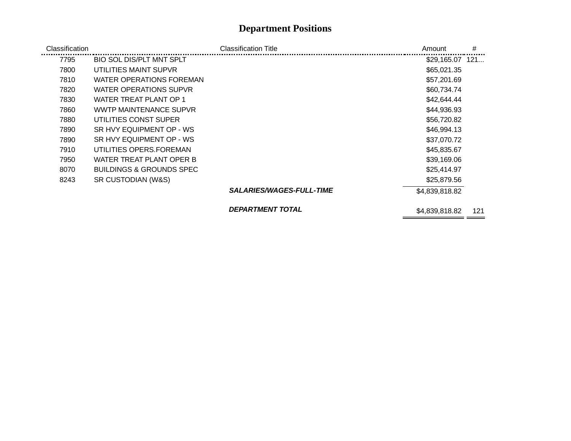| Classification |                          | <b>Classification Title</b>     | Amount           | #   |
|----------------|--------------------------|---------------------------------|------------------|-----|
| 7795           | BIO SOL DIS/PLT MNT SPLT |                                 | $$29,165.07$ 121 |     |
| 7800           | UTILITIES MAINT SUPVR    |                                 | \$65,021.35      |     |
| 7810           | WATER OPERATIONS FOREMAN |                                 | \$57,201.69      |     |
| 7820           | WATER OPERATIONS SUPVR   |                                 | \$60,734.74      |     |
| 7830           | WATER TREAT PLANT OP 1   |                                 | \$42,644.44      |     |
| 7860           | WWTP MAINTENANCE SUPVR   |                                 | \$44,936.93      |     |
| 7880           | UTILITIES CONST SUPER    |                                 | \$56,720.82      |     |
| 7890           | SR HVY EQUIPMENT OP - WS |                                 | \$46,994.13      |     |
| 7890           | SR HVY EQUIPMENT OP - WS |                                 | \$37,070.72      |     |
| 7910           | UTILITIES OPERS.FOREMAN  |                                 | \$45,835.67      |     |
| 7950           | WATER TREAT PLANT OPER B |                                 | \$39,169.06      |     |
| 8070           | BUILDINGS & GROUNDS SPEC |                                 | \$25,414.97      |     |
| 8243           | SR CUSTODIAN (W&S)       |                                 | \$25,879.56      |     |
|                |                          | <b>SALARIES/WAGES-FULL-TIME</b> | \$4,839,818.82   |     |
|                |                          | <b>DEPARTMENT TOTAL</b>         | \$4,839,818.82   | 121 |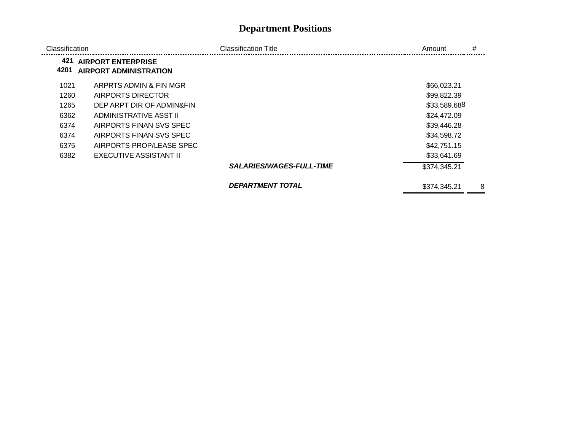| Classification |                                                            | <b>Classification Title</b>     | #<br>Amount       |
|----------------|------------------------------------------------------------|---------------------------------|-------------------|
| 421<br>4201    | <b>AIRPORT ENTERPRISE</b><br><b>AIRPORT ADMINISTRATION</b> |                                 |                   |
| 1021           | ARPRTS ADMIN & FIN MGR                                     |                                 | \$66,023.21       |
| 1260           | AIRPORTS DIRECTOR                                          |                                 | \$99,822.39       |
| 1265           | DEP ARPT DIR OF ADMIN&FIN                                  |                                 | \$33,589.688      |
| 6362           | ADMINISTRATIVE ASST II                                     |                                 | \$24,472.09       |
| 6374           | AIRPORTS FINAN SVS SPEC                                    |                                 | \$39,446.28       |
| 6374           | AIRPORTS FINAN SVS SPEC                                    |                                 | \$34,598.72       |
| 6375           | AIRPORTS PROP/LEASE SPEC                                   |                                 | \$42,751.15       |
| 6382           | EXECUTIVE ASSISTANT II                                     |                                 | \$33,641.69       |
|                |                                                            | <b>SALARIES/WAGES-FULL-TIME</b> | \$374,345.21      |
|                |                                                            | <b>DEPARTMENT TOTAL</b>         | 8<br>\$374,345.21 |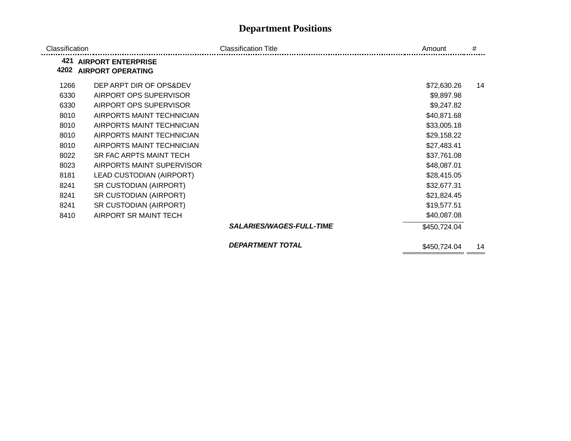| Classification |                                                       | <b>Classification Title</b>     | Amount       | #  |
|----------------|-------------------------------------------------------|---------------------------------|--------------|----|
| 421<br>4202    | <b>AIRPORT ENTERPRISE</b><br><b>AIRPORT OPERATING</b> |                                 |              |    |
| 1266           | DEP ARPT DIR OF OPS&DEV                               |                                 | \$72,630.26  | 14 |
| 6330           | AIRPORT OPS SUPERVISOR                                |                                 | \$9,897.98   |    |
| 6330           | AIRPORT OPS SUPERVISOR                                |                                 | \$9,247.82   |    |
| 8010           | AIRPORTS MAINT TECHNICIAN                             |                                 | \$40,871.68  |    |
| 8010           | AIRPORTS MAINT TECHNICIAN                             |                                 | \$33,005.18  |    |
| 8010           | AIRPORTS MAINT TECHNICIAN                             |                                 | \$29,158.22  |    |
| 8010           | AIRPORTS MAINT TECHNICIAN                             |                                 | \$27,483.41  |    |
| 8022           | SR FAC ARPTS MAINT TECH                               |                                 | \$37,761.08  |    |
| 8023           | AIRPORTS MAINT SUPERVISOR                             |                                 | \$48,087.01  |    |
| 8181           | LEAD CUSTODIAN (AIRPORT)                              |                                 | \$28,415.05  |    |
| 8241           | SR CUSTODIAN (AIRPORT)                                |                                 | \$32,677.31  |    |
| 8241           | SR CUSTODIAN (AIRPORT)                                |                                 | \$21,824.45  |    |
| 8241           | SR CUSTODIAN (AIRPORT)                                |                                 | \$19,577.51  |    |
| 8410           | AIRPORT SR MAINT TECH                                 |                                 | \$40,087.08  |    |
|                |                                                       | <b>SALARIES/WAGES-FULL-TIME</b> | \$450,724.04 |    |
|                |                                                       | <b>DEPARTMENT TOTAL</b>         | \$450,724,04 | 14 |

 $=$   $=$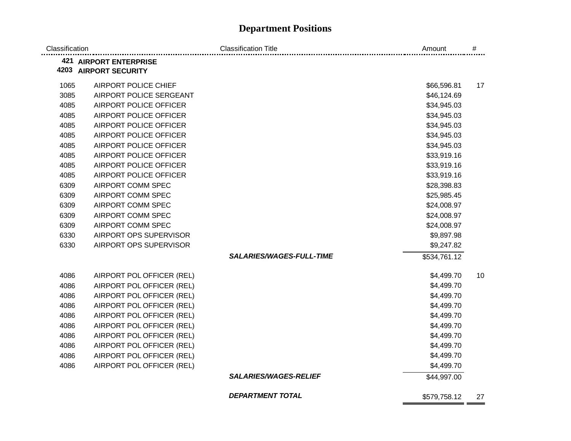| Classification |                               | <b>Classification Title</b>     | Amount       | #  |
|----------------|-------------------------------|---------------------------------|--------------|----|
|                | <b>421 AIRPORT ENTERPRISE</b> |                                 |              |    |
|                | <b>4203 AIRPORT SECURITY</b>  |                                 |              |    |
| 1065           | AIRPORT POLICE CHIEF          |                                 | \$66,596.81  | 17 |
| 3085           | AIRPORT POLICE SERGEANT       |                                 | \$46,124.69  |    |
| 4085           | AIRPORT POLICE OFFICER        |                                 | \$34,945.03  |    |
| 4085           | AIRPORT POLICE OFFICER        |                                 | \$34,945.03  |    |
| 4085           | AIRPORT POLICE OFFICER        |                                 | \$34,945.03  |    |
| 4085           | AIRPORT POLICE OFFICER        |                                 | \$34,945.03  |    |
| 4085           | AIRPORT POLICE OFFICER        |                                 | \$34,945.03  |    |
| 4085           | AIRPORT POLICE OFFICER        |                                 | \$33,919.16  |    |
| 4085           | AIRPORT POLICE OFFICER        |                                 | \$33,919.16  |    |
| 4085           | AIRPORT POLICE OFFICER        |                                 | \$33,919.16  |    |
| 6309           | AIRPORT COMM SPEC             |                                 | \$28,398.83  |    |
| 6309           | AIRPORT COMM SPEC             |                                 | \$25,985.45  |    |
| 6309           | AIRPORT COMM SPEC             |                                 | \$24,008.97  |    |
| 6309           | AIRPORT COMM SPEC             |                                 | \$24,008.97  |    |
| 6309           | AIRPORT COMM SPEC             |                                 | \$24,008.97  |    |
| 6330           | AIRPORT OPS SUPERVISOR        |                                 | \$9,897.98   |    |
| 6330           | AIRPORT OPS SUPERVISOR        |                                 | \$9,247.82   |    |
|                |                               | <b>SALARIES/WAGES-FULL-TIME</b> | \$534,761.12 |    |
| 4086           | AIRPORT POL OFFICER (REL)     |                                 | \$4,499.70   | 10 |
| 4086           | AIRPORT POL OFFICER (REL)     |                                 | \$4,499.70   |    |
| 4086           | AIRPORT POL OFFICER (REL)     |                                 | \$4,499.70   |    |
| 4086           | AIRPORT POL OFFICER (REL)     |                                 | \$4,499.70   |    |
| 4086           | AIRPORT POL OFFICER (REL)     |                                 | \$4,499.70   |    |
| 4086           | AIRPORT POL OFFICER (REL)     |                                 | \$4,499.70   |    |
| 4086           | AIRPORT POL OFFICER (REL)     |                                 | \$4,499.70   |    |
| 4086           | AIRPORT POL OFFICER (REL)     |                                 | \$4,499.70   |    |
| 4086           | AIRPORT POL OFFICER (REL)     |                                 | \$4,499.70   |    |
| 4086           | AIRPORT POL OFFICER (REL)     |                                 | \$4,499.70   |    |
|                |                               | <b>SALARIES/WAGES-RELIEF</b>    | \$44,997.00  |    |
|                |                               | <b>DEPARTMENT TOTAL</b>         | \$579,758.12 | 27 |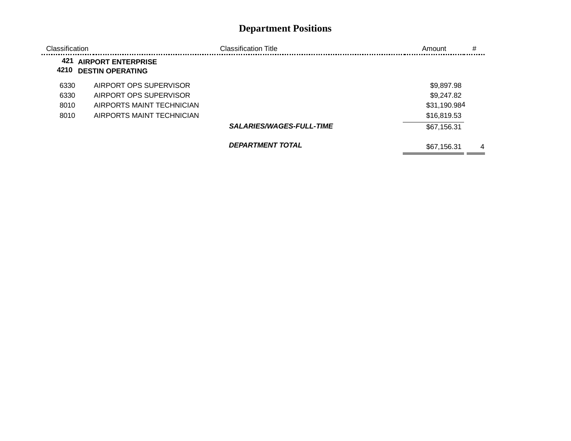| Classification |                                                      | <b>Classification Title</b> | #<br>Amount      |
|----------------|------------------------------------------------------|-----------------------------|------------------|
| 421<br>4210    | <b>AIRPORT ENTERPRISE</b><br><b>DESTIN OPERATING</b> |                             |                  |
| 6330           | AIRPORT OPS SUPERVISOR                               |                             | \$9,897.98       |
| 6330           | AIRPORT OPS SUPERVISOR                               |                             | \$9,247.82       |
| 8010           | AIRPORTS MAINT TECHNICIAN                            |                             | \$31,190.984     |
| 8010           | AIRPORTS MAINT TECHNICIAN                            |                             | \$16,819.53      |
|                |                                                      | SALARIES/WAGES-FULL-TIME    | \$67,156.31      |
|                |                                                      | <b>DEPARTMENT TOTAL</b>     | \$67,156.31<br>4 |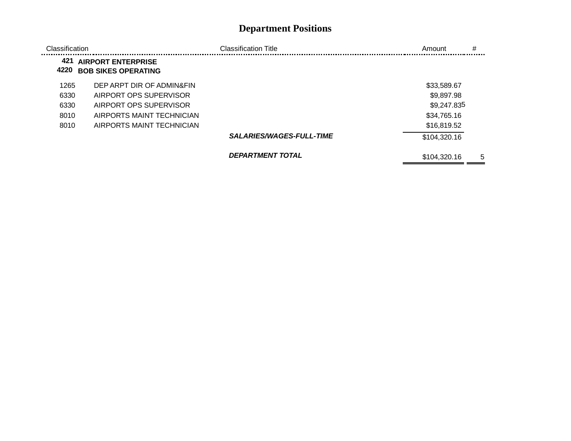| Classification |                                                         | <b>Classification Title</b>     | #<br>Amount       |
|----------------|---------------------------------------------------------|---------------------------------|-------------------|
| 421<br>4220    | <b>AIRPORT ENTERPRISE</b><br><b>BOB SIKES OPERATING</b> |                                 |                   |
| 1265           | DEP ARPT DIR OF ADMIN&FIN                               |                                 | \$33,589.67       |
| 6330           | AIRPORT OPS SUPERVISOR                                  |                                 | \$9,897.98        |
| 6330           | AIRPORT OPS SUPERVISOR                                  |                                 | \$9,247.835       |
| 8010           | AIRPORTS MAINT TECHNICIAN                               |                                 | \$34,765.16       |
| 8010           | AIRPORTS MAINT TECHNICIAN                               |                                 | \$16,819.52       |
|                |                                                         | <b>SALARIES/WAGES-FULL-TIME</b> | \$104,320.16      |
|                |                                                         | <b>DEPARTMENT TOTAL</b>         | \$104,320.16<br>5 |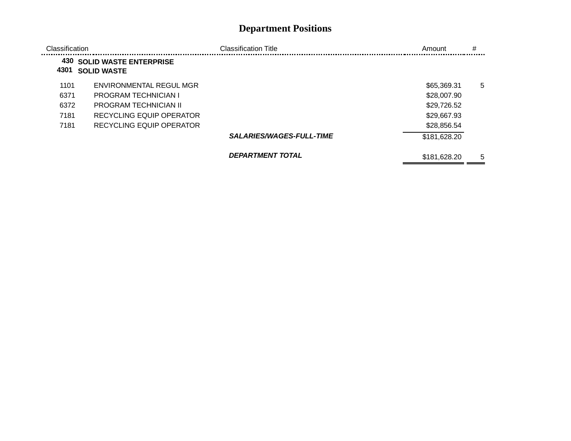| Classification |                                                         | <b>Classification Title</b>     | Amount       | # |
|----------------|---------------------------------------------------------|---------------------------------|--------------|---|
| 4301           | <b>430 SOLID WASTE ENTERPRISE</b><br><b>SOLID WASTE</b> |                                 |              |   |
| 1101           | ENVIRONMENTAL REGUL MGR                                 |                                 | \$65,369.31  | 5 |
| 6371           | <b>PROGRAM TECHNICIAN I</b>                             |                                 | \$28,007.90  |   |
| 6372           | <b>PROGRAM TECHNICIAN II</b>                            |                                 | \$29,726.52  |   |
| 7181           | RECYCLING EQUIP OPERATOR                                |                                 | \$29,667.93  |   |
| 7181           | RECYCLING EQUIP OPERATOR                                |                                 | \$28,856.54  |   |
|                |                                                         | <b>SALARIES/WAGES-FULL-TIME</b> | \$181,628.20 |   |
|                |                                                         | <b>DEPARTMENT TOTAL</b>         | \$181,628.20 | 5 |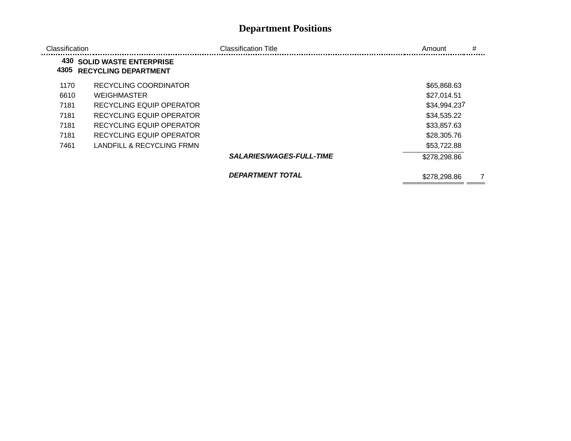$=$   $-$ 

| Classification |                                                                  | <b>Classification Title</b>     | #<br>Amount       |
|----------------|------------------------------------------------------------------|---------------------------------|-------------------|
| 4305           | <b>430 SOLID WASTE ENTERPRISE</b><br><b>RECYCLING DEPARTMENT</b> |                                 |                   |
| 1170           | RECYCLING COORDINATOR                                            |                                 | \$65,868.63       |
| 6610           | <b>WEIGHMASTER</b>                                               |                                 | \$27,014.51       |
| 7181           | RECYCLING EQUIP OPERATOR                                         |                                 | \$34,994.237      |
| 7181           | RECYCLING EQUIP OPERATOR                                         |                                 | \$34,535.22       |
| 7181           | RECYCLING EQUIP OPERATOR                                         |                                 | \$33,857.63       |
| 7181           | RECYCLING EQUIP OPERATOR                                         |                                 | \$28,305.76       |
| 7461           | LANDFILL & RECYCLING FRMN                                        |                                 | \$53,722.88       |
|                |                                                                  | <b>SALARIES/WAGES-FULL-TIME</b> | \$278,298.86      |
|                |                                                                  | <b>DEPARTMENT TOTAL</b>         | \$278,298.86<br>7 |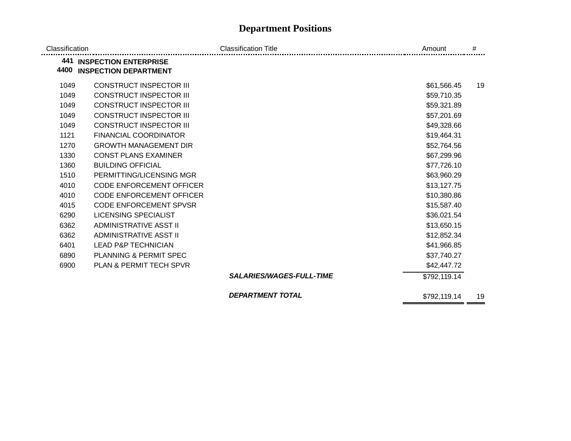| Classification |                                                                  | <b>Classification Title</b>     | Amount       | #  |
|----------------|------------------------------------------------------------------|---------------------------------|--------------|----|
| 4400           | <b>441 INSPECTION ENTERPRISE</b><br><b>INSPECTION DEPARTMENT</b> |                                 |              |    |
| 1049           | <b>CONSTRUCT INSPECTOR III</b>                                   |                                 | \$61,566.45  | 19 |
| 1049           | <b>CONSTRUCT INSPECTOR III</b>                                   |                                 | \$59,710.35  |    |
| 1049           | <b>CONSTRUCT INSPECTOR III</b>                                   |                                 | \$59,321.89  |    |
| 1049           | <b>CONSTRUCT INSPECTOR III</b>                                   |                                 | \$57,201.69  |    |
| 1049           | <b>CONSTRUCT INSPECTOR III</b>                                   |                                 | \$49,328.66  |    |
| 1121           | FINANCIAL COORDINATOR                                            |                                 | \$19,464.31  |    |
| 1270           | <b>GROWTH MANAGEMENT DIR</b>                                     |                                 | \$52,764.56  |    |
| 1330           | <b>CONST PLANS EXAMINER</b>                                      |                                 | \$67,299.96  |    |
| 1360           | <b>BUILDING OFFICIAL</b>                                         |                                 | \$77,726.10  |    |
| 1510           | PERMITTING/LICENSING MGR                                         |                                 | \$63,960.29  |    |
| 4010           | <b>CODE ENFORCEMENT OFFICER</b>                                  |                                 | \$13,127.75  |    |
| 4010           | <b>CODE ENFORCEMENT OFFICER</b>                                  |                                 | \$10,380.86  |    |
| 4015           | <b>CODE ENFORCEMENT SPVSR</b>                                    |                                 | \$15,587.40  |    |
| 6290           | LICENSING SPECIALIST                                             |                                 | \$36,021.54  |    |
| 6362           | ADMINISTRATIVE ASST II                                           |                                 | \$13,650.15  |    |
| 6362           | ADMINISTRATIVE ASST II                                           |                                 | \$12,852.34  |    |
| 6401           | <b>LEAD P&amp;P TECHNICIAN</b>                                   |                                 | \$41,966.85  |    |
| 6890           | PLANNING & PERMIT SPEC                                           |                                 | \$37,740.27  |    |
| 6900           | <b>PLAN &amp; PERMIT TECH SPVR</b>                               |                                 | \$42,447.72  |    |
|                |                                                                  | <b>SALARIES/WAGES-FULL-TIME</b> | \$792,119.14 |    |
|                |                                                                  | <b>DEPARTMENT TOTAL</b>         | \$792,119.14 | 19 |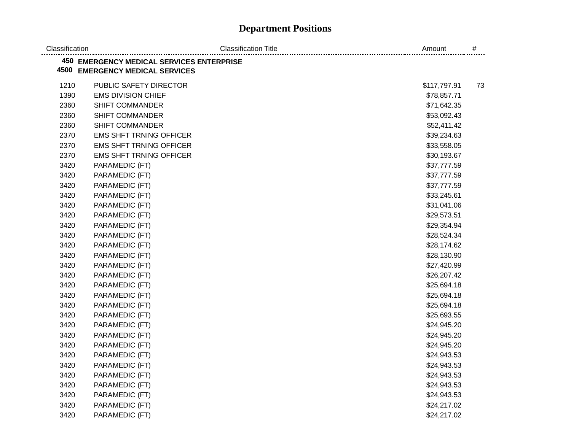| Classification | <b>Classification Title</b>               | Amount       | #  |
|----------------|-------------------------------------------|--------------|----|
|                | 450 EMERGENCY MEDICAL SERVICES ENTERPRISE |              |    |
|                | <b>4500 EMERGENCY MEDICAL SERVICES</b>    |              |    |
| 1210           | PUBLIC SAFETY DIRECTOR                    | \$117,797.91 | 73 |
| 1390           | <b>EMS DIVISION CHIEF</b>                 | \$78,857.71  |    |
| 2360           | <b>SHIFT COMMANDER</b>                    | \$71,642.35  |    |
| 2360           | SHIFT COMMANDER                           | \$53,092.43  |    |
| 2360           | SHIFT COMMANDER                           | \$52,411.42  |    |
| 2370           | <b>EMS SHFT TRNING OFFICER</b>            | \$39,234.63  |    |
| 2370           | <b>EMS SHFT TRNING OFFICER</b>            | \$33,558.05  |    |
| 2370           | <b>EMS SHFT TRNING OFFICER</b>            | \$30,193.67  |    |
| 3420           | PARAMEDIC (FT)                            | \$37,777.59  |    |
| 3420           | PARAMEDIC (FT)                            | \$37,777.59  |    |
| 3420           | PARAMEDIC (FT)                            | \$37,777.59  |    |
| 3420           | PARAMEDIC (FT)                            | \$33,245.61  |    |
| 3420           | PARAMEDIC (FT)                            | \$31,041.06  |    |
| 3420           | PARAMEDIC (FT)                            | \$29,573.51  |    |
| 3420           | PARAMEDIC (FT)                            | \$29,354.94  |    |
| 3420           | PARAMEDIC (FT)                            | \$28,524.34  |    |
| 3420           | PARAMEDIC (FT)                            | \$28,174.62  |    |
| 3420           | PARAMEDIC (FT)                            | \$28,130.90  |    |
| 3420           | PARAMEDIC (FT)                            | \$27,420.99  |    |
| 3420           | PARAMEDIC (FT)                            | \$26,207.42  |    |
| 3420           | PARAMEDIC (FT)                            | \$25,694.18  |    |
| 3420           | PARAMEDIC (FT)                            | \$25,694.18  |    |
| 3420           | PARAMEDIC (FT)                            | \$25,694.18  |    |
| 3420           | PARAMEDIC (FT)                            | \$25,693.55  |    |
| 3420           | PARAMEDIC (FT)                            | \$24,945.20  |    |
| 3420           | PARAMEDIC (FT)                            | \$24,945.20  |    |
| 3420           | PARAMEDIC (FT)                            | \$24,945.20  |    |
| 3420           | PARAMEDIC (FT)                            | \$24,943.53  |    |
| 3420           | PARAMEDIC (FT)                            | \$24,943.53  |    |
| 3420           | PARAMEDIC (FT)                            | \$24,943.53  |    |
| 3420           | PARAMEDIC (FT)                            | \$24,943.53  |    |
| 3420           | PARAMEDIC (FT)                            | \$24,943.53  |    |
| 3420           | PARAMEDIC (FT)                            | \$24,217.02  |    |
| 3420           | PARAMEDIC (FT)                            | \$24,217.02  |    |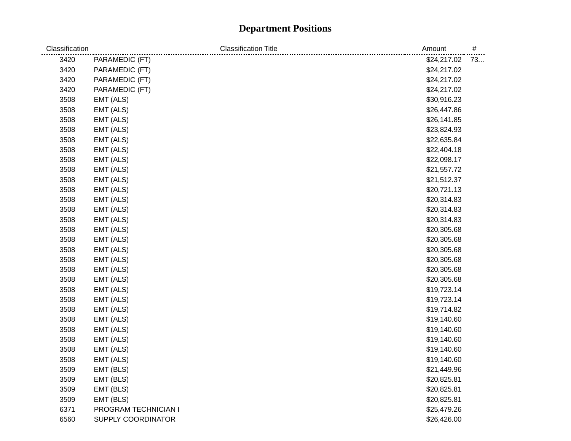| Classification | <b>Classification Title</b> | Amount      | $\#$ |
|----------------|-----------------------------|-------------|------|
| 3420           | PARAMEDIC (FT)              | \$24,217.02 | 73   |
| 3420           | PARAMEDIC (FT)              | \$24,217.02 |      |
| 3420           | PARAMEDIC (FT)              | \$24,217.02 |      |
| 3420           | PARAMEDIC (FT)              | \$24,217.02 |      |
| 3508           | EMT (ALS)                   | \$30,916.23 |      |
| 3508           | EMT (ALS)                   | \$26,447.86 |      |
| 3508           | EMT (ALS)                   | \$26,141.85 |      |
| 3508           | EMT (ALS)                   | \$23,824.93 |      |
| 3508           | EMT (ALS)                   | \$22,635.84 |      |
| 3508           | EMT (ALS)                   | \$22,404.18 |      |
| 3508           | EMT (ALS)                   | \$22,098.17 |      |
| 3508           | EMT (ALS)                   | \$21,557.72 |      |
| 3508           | EMT (ALS)                   | \$21,512.37 |      |
| 3508           | EMT (ALS)                   | \$20,721.13 |      |
| 3508           | EMT (ALS)                   | \$20,314.83 |      |
| 3508           | EMT (ALS)                   | \$20,314.83 |      |
| 3508           | EMT (ALS)                   | \$20,314.83 |      |
| 3508           | EMT (ALS)                   | \$20,305.68 |      |
| 3508           | EMT (ALS)                   | \$20,305.68 |      |
| 3508           | EMT (ALS)                   | \$20,305.68 |      |
| 3508           | EMT (ALS)                   | \$20,305.68 |      |
| 3508           | EMT (ALS)                   | \$20,305.68 |      |
| 3508           | EMT (ALS)                   | \$20,305.68 |      |
| 3508           | EMT (ALS)                   | \$19,723.14 |      |
| 3508           | EMT (ALS)                   | \$19,723.14 |      |
| 3508           | EMT (ALS)                   | \$19,714.82 |      |
| 3508           | EMT (ALS)                   | \$19,140.60 |      |
| 3508           | EMT (ALS)                   | \$19,140.60 |      |
| 3508           | EMT (ALS)                   | \$19,140.60 |      |
| 3508           | EMT (ALS)                   | \$19,140.60 |      |
| 3508           | EMT (ALS)                   | \$19,140.60 |      |
| 3509           | EMT (BLS)                   | \$21,449.96 |      |
| 3509           | EMT (BLS)                   | \$20,825.81 |      |
| 3509           | EMT (BLS)                   | \$20,825.81 |      |
| 3509           | EMT (BLS)                   | \$20,825.81 |      |
| 6371           | PROGRAM TECHNICIAN I        | \$25,479.26 |      |
| 6560           | SUPPLY COORDINATOR          | \$26,426.00 |      |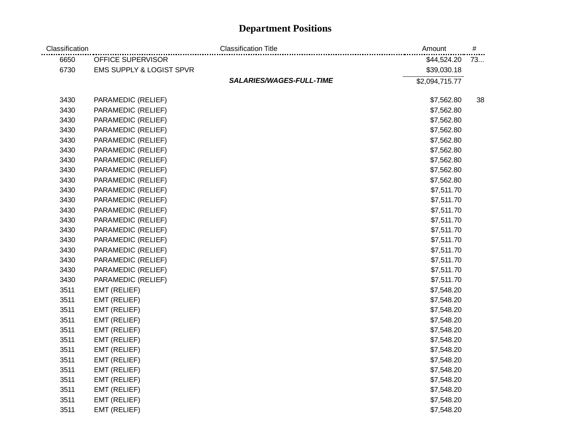| Classification |                          | <b>Classification Title</b> | Amount         | $\#$ |
|----------------|--------------------------|-----------------------------|----------------|------|
| 6650           | OFFICE SUPERVISOR        |                             | \$44,524.20    | 73   |
| 6730           | EMS SUPPLY & LOGIST SPVR |                             | \$39,030.18    |      |
|                |                          | SALARIES/WAGES-FULL-TIME    | \$2,094,715.77 |      |
| 3430           | PARAMEDIC (RELIEF)       |                             | \$7,562.80     | 38   |
| 3430           | PARAMEDIC (RELIEF)       |                             | \$7,562.80     |      |
| 3430           | PARAMEDIC (RELIEF)       |                             | \$7,562.80     |      |
| 3430           | PARAMEDIC (RELIEF)       |                             | \$7,562.80     |      |
| 3430           | PARAMEDIC (RELIEF)       |                             | \$7,562.80     |      |
| 3430           | PARAMEDIC (RELIEF)       |                             | \$7,562.80     |      |
| 3430           | PARAMEDIC (RELIEF)       |                             | \$7,562.80     |      |
| 3430           | PARAMEDIC (RELIEF)       |                             | \$7,562.80     |      |
| 3430           | PARAMEDIC (RELIEF)       |                             | \$7,562.80     |      |
| 3430           | PARAMEDIC (RELIEF)       |                             | \$7,511.70     |      |
| 3430           | PARAMEDIC (RELIEF)       |                             | \$7,511.70     |      |
| 3430           | PARAMEDIC (RELIEF)       |                             | \$7,511.70     |      |
| 3430           | PARAMEDIC (RELIEF)       |                             | \$7,511.70     |      |
| 3430           | PARAMEDIC (RELIEF)       |                             | \$7,511.70     |      |
| 3430           | PARAMEDIC (RELIEF)       |                             | \$7,511.70     |      |
| 3430           | PARAMEDIC (RELIEF)       |                             | \$7,511.70     |      |
| 3430           | PARAMEDIC (RELIEF)       |                             | \$7,511.70     |      |
| 3430           | PARAMEDIC (RELIEF)       |                             | \$7,511.70     |      |
| 3430           | PARAMEDIC (RELIEF)       |                             | \$7,511.70     |      |
| 3511           | EMT (RELIEF)             |                             | \$7,548.20     |      |
| 3511           | EMT (RELIEF)             |                             | \$7,548.20     |      |
| 3511           | EMT (RELIEF)             |                             | \$7,548.20     |      |
| 3511           | EMT (RELIEF)             |                             | \$7,548.20     |      |
| 3511           | EMT (RELIEF)             |                             | \$7,548.20     |      |
| 3511           | EMT (RELIEF)             |                             | \$7,548.20     |      |
| 3511           | EMT (RELIEF)             |                             | \$7,548.20     |      |
| 3511           | EMT (RELIEF)             |                             | \$7,548.20     |      |
| 3511           | EMT (RELIEF)             |                             | \$7,548.20     |      |
| 3511           | EMT (RELIEF)             |                             | \$7,548.20     |      |
| 3511           | EMT (RELIEF)             |                             | \$7,548.20     |      |
| 3511           | EMT (RELIEF)             |                             | \$7,548.20     |      |
| 3511           | EMT (RELIEF)             |                             | \$7,548.20     |      |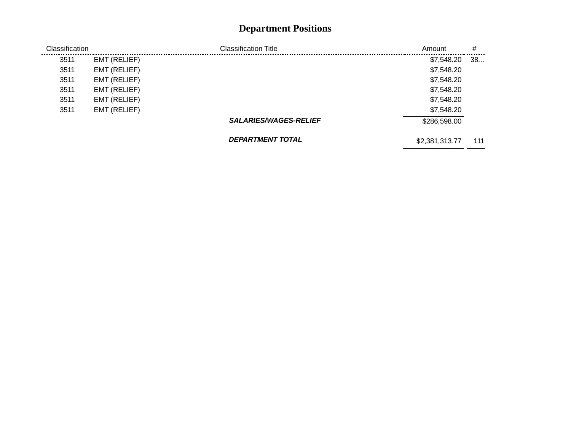| Classification | <b>Classification Title</b>  | Amount         | #   |
|----------------|------------------------------|----------------|-----|
| 3511           | EMT (RELIEF)                 | \$7,548.20     | 38  |
| 3511           | EMT (RELIEF)                 | \$7,548.20     |     |
| 3511           | EMT (RELIEF)                 | \$7,548.20     |     |
| 3511           | EMT (RELIEF)                 | \$7,548.20     |     |
| 3511           | EMT (RELIEF)                 | \$7,548.20     |     |
| 3511           | EMT (RELIEF)                 | \$7,548.20     |     |
|                | <b>SALARIES/WAGES-RELIEF</b> | \$286,598.00   |     |
|                | <b>DEPARTMENT TOTAL</b>      | \$2,381,313.77 | 111 |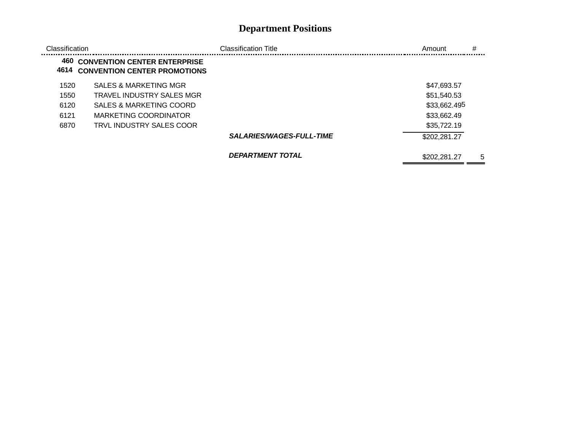| Classification |                                                                            | <b>Classification Title</b>     | #<br>Amount       |
|----------------|----------------------------------------------------------------------------|---------------------------------|-------------------|
| 460<br>4614    | <b>CONVENTION CENTER ENTERPRISE</b><br><b>CONVENTION CENTER PROMOTIONS</b> |                                 |                   |
| 1520           | SALES & MARKETING MGR                                                      |                                 | \$47,693.57       |
| 1550           | <b>TRAVEL INDUSTRY SALES MGR</b>                                           |                                 | \$51,540.53       |
| 6120           | SALES & MARKETING COORD                                                    |                                 | \$33,662.495      |
| 6121           | MARKETING COORDINATOR                                                      |                                 | \$33,662.49       |
| 6870           | TRVL INDUSTRY SALES COOR                                                   |                                 | \$35,722.19       |
|                |                                                                            | <b>SALARIES/WAGES-FULL-TIME</b> | \$202,281.27      |
|                |                                                                            | <b>DEPARTMENT TOTAL</b>         | \$202,281.27<br>5 |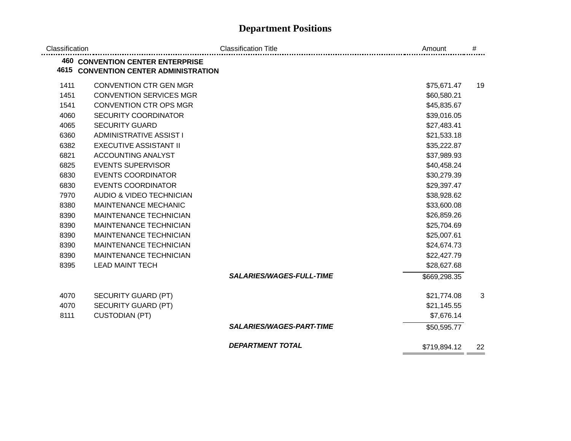| <b>460 CONVENTION CENTER ENTERPRISE</b>      |              |    |
|----------------------------------------------|--------------|----|
| <b>4615 CONVENTION CENTER ADMINISTRATION</b> |              |    |
| 1411<br><b>CONVENTION CTR GEN MGR</b>        | \$75,671.47  | 19 |
| 1451<br><b>CONVENTION SERVICES MGR</b>       | \$60,580.21  |    |
| <b>CONVENTION CTR OPS MGR</b><br>1541        | \$45,835.67  |    |
| <b>SECURITY COORDINATOR</b><br>4060          | \$39,016.05  |    |
| 4065<br><b>SECURITY GUARD</b>                | \$27,483.41  |    |
| 6360<br><b>ADMINISTRATIVE ASSIST I</b>       | \$21,533.18  |    |
| 6382<br><b>EXECUTIVE ASSISTANT II</b>        | \$35,222.87  |    |
| 6821<br><b>ACCOUNTING ANALYST</b>            | \$37,989.93  |    |
| 6825<br><b>EVENTS SUPERVISOR</b>             | \$40,458.24  |    |
| 6830<br><b>EVENTS COORDINATOR</b>            | \$30,279.39  |    |
| 6830<br><b>EVENTS COORDINATOR</b>            | \$29,397.47  |    |
| 7970<br>AUDIO & VIDEO TECHNICIAN             | \$38,928.62  |    |
| 8380<br>MAINTENANCE MECHANIC                 | \$33,600.08  |    |
| 8390<br><b>MAINTENANCE TECHNICIAN</b>        | \$26,859.26  |    |
| 8390<br><b>MAINTENANCE TECHNICIAN</b>        | \$25,704.69  |    |
| 8390<br><b>MAINTENANCE TECHNICIAN</b>        | \$25,007.61  |    |
| 8390<br><b>MAINTENANCE TECHNICIAN</b>        | \$24,674.73  |    |
| 8390<br><b>MAINTENANCE TECHNICIAN</b>        | \$22,427.79  |    |
| <b>LEAD MAINT TECH</b><br>8395               | \$28,627.68  |    |
| <b>SALARIES/WAGES-FULL-TIME</b>              | \$669,298.35 |    |
| 4070<br><b>SECURITY GUARD (PT)</b>           | \$21,774.08  | 3  |
| SECURITY GUARD (PT)<br>4070                  | \$21,145.55  |    |
| 8111<br><b>CUSTODIAN (PT)</b>                | \$7,676.14   |    |
| <b>SALARIES/WAGES-PART-TIME</b>              | \$50,595.77  |    |
| <b>DEPARTMENT TOTAL</b>                      | \$719,894.12 | 22 |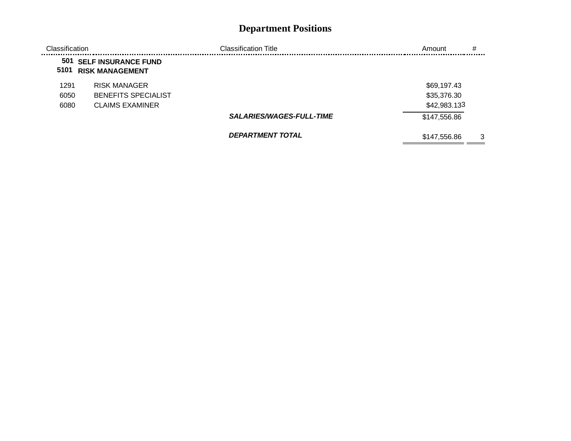| Classification |                                                   | Classification Title            | #<br>Amount       |
|----------------|---------------------------------------------------|---------------------------------|-------------------|
| 5101           | 501 SELF INSURANCE FUND<br><b>RISK MANAGEMENT</b> |                                 |                   |
| 1291           | <b>RISK MANAGER</b>                               |                                 | \$69,197.43       |
| 6050           | <b>BENEFITS SPECIALIST</b>                        |                                 | \$35,376.30       |
| 6080           | <b>CLAIMS EXAMINER</b>                            |                                 | \$42,983.133      |
|                |                                                   | <b>SALARIES/WAGES-FULL-TIME</b> | \$147,556.86      |
|                |                                                   | <b>DEPARTMENT TOTAL</b>         | \$147,556.86<br>3 |